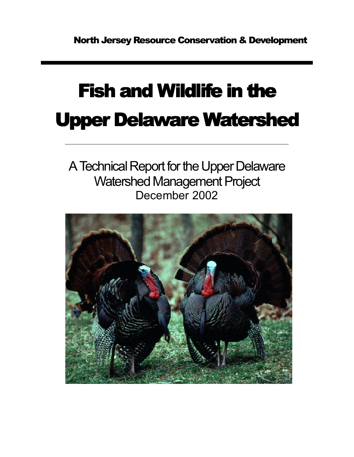# **Fish and Wildlife in the Upper Delaware Watershed**

A Technical Report for the Upper Delaware Watershed Management Project December 2002

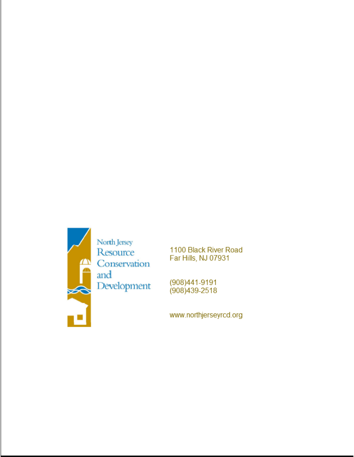

1100 Black River Road Far Hills, NJ 07931

(908)441-9191 (908) 439-2518

www.northjerseyrcd.org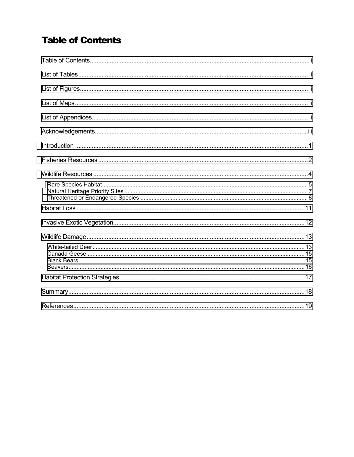### **Table of Contents**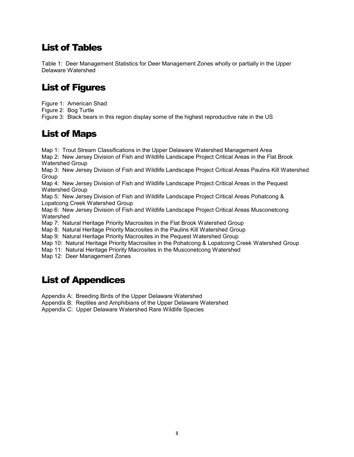### <span id="page-3-0"></span>List of Tables

Table 1: Deer Management Statistics for Deer Management Zones wholly or partially in the Upper Delaware Watershed

### List of Figures

Figure 1: American Shad

Figure 2: Bog Turtle

Figure 3: Black bears in this region display some of the highest reproductive rate in the US

### List of Maps

Map 1: Trout Stream Classifications in the Upper Delaware Watershed Management Area Map 2: New Jersey Division of Fish and Wildlife Landscape Project Critical Areas in the Flat Brook Watershed Group

Map 3: New Jersey Division of Fish and Wildlife Landscape Project Critical Areas Paulins Kill Watershed Group

Map 4: New Jersey Division of Fish and Wildlife Landscape Project Critical Areas in the Pequest Watershed Group

Map 5: New Jersey Division of Fish and Wildlife Landscape Project Critical Areas Pohatcong & Lopatcong Creek Watershed Group

Map 6: New Jersey Division of Fish and Wildlife Landscape Project Critical Areas Musconetcong Watershed

Map 7: Natural Heritage Priority Macrosites in the Flat Brook Watershed Group

Map 8: Natural Heritage Priority Macrosites in the Paulins Kill Watershed Group

Map 9: Natural Heritage Priority Macrosites in the Pequest Watershed Group

Map 10: Natural Heritage Priority Macrosites in the Pohatcong & Lopatcong Creek Watershed Group

Map 11: Natural Heritage Priority Macrosites in the Musconetcong Watershed

Map 12: Deer Management Zones

### List of Appendices

Appendix A: Breeding Birds of the Upper Delaware Watershed

Appendix B: Reptiles and Amphibians of the Upper Delaware Watershed

Appendix C: Upper Delaware Watershed Rare Wildlife Species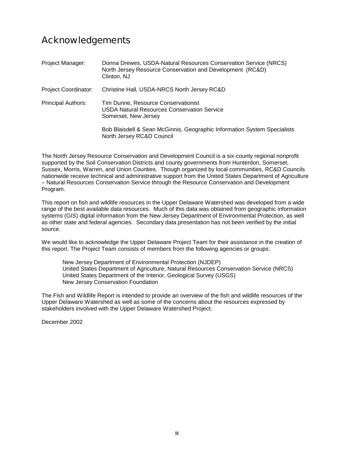### Acknowledgements

| Project Manager:            | Donna Drewes, USDA-Natural Resources Conservation Service (NRCS)<br>North Jersey Resource Conservation and Development (RC&D)<br>Clinton, NJ |
|-----------------------------|----------------------------------------------------------------------------------------------------------------------------------------------|
| <b>Project Coordinator:</b> | Christine Hall, USDA-NRCS North Jersey RC&D                                                                                                  |
| <b>Principal Authors:</b>   | Tim Dunne, Resource Conservationist<br>USDA Natural Resources Conservation Service<br>Somerset, New Jersey                                   |
|                             | Bob Blaisdell & Sean McGinnis, Geographic Information System Specialists<br>North Jersey RC&D Council                                        |

The North Jersey Resource Conservation and Development Council is a six-county regional nonprofit supported by the Soil Conservation Districts and county governments from Hunterdon, Somerset, Sussex, Morris, Warren, and Union Counties. Though organized by local communities, RC&D Councils nationwide receive technical and administrative support from the United States Department of Agriculture – Natural Resources Conservation Service through the Resource Conservation and Development Program.

This report on fish and wildlife resources in the Upper Delaware Watershed was developed from a wide range of the best available data resources. Much of this data was obtained from geographic information systems (GIS) digital information from the New Jersey Department of Environmental Protection, as well as other state and federal agencies. Secondary data presentation has not been verified by the initial source.

We would like to acknowledge the Upper Delaware Project Team for their assistance in the creation of this report. The Project Team consists of members from the following agencies or groups:

New Jersey Department of Environmental Protection (NJDEP) United States Department of Agriculture, Natural Resources Conservation Service (NRCS) United States Department of the Interior, Geological Survey (USGS) New Jersey Conservation Foundation

The Fish and Wildlife Report is intended to provide an overview of the fish and wildlife resources of the Upper Delaware Watershed as well as some of the concerns about the resources expressed by stakeholders involved with the Upper Delaware Watershed Project.

December 2002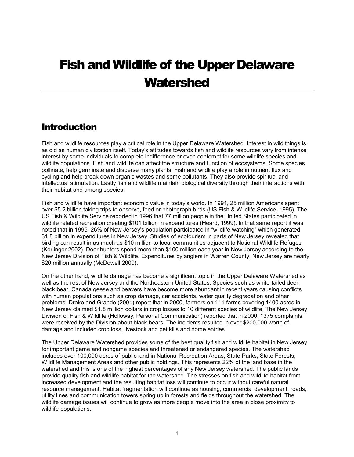## <span id="page-6-0"></span>Fish and Wildlife of the Upper Delaware **Watershed**

### **Introduction**

Fish and wildlife resources play a critical role in the Upper Delaware Watershed. Interest in wild things is as old as human civilization itself. Today's attitudes towards fish and wildlife resources vary from intense interest by some individuals to complete indifference or even contempt for some wildlife species and wildlife populations. Fish and wildlife can affect the structure and function of ecosystems. Some species pollinate, help germinate and disperse many plants. Fish and wildlife play a role in nutrient flux and cycling and help break down organic wastes and some pollutants. They also provide spiritual and intellectual stimulation. Lastly fish and wildlife maintain biological diversity through their interactions with their habitat and among species.

Fish and wildlife have important economic value in today's world. In 1991, 25 million Americans spent over \$5.2 billion taking trips to observe, feed or photograph birds (US Fish & Wildlife Service, 1995). The US Fish & Wildlife Service reported in 1996 that 77 million people in the United States participated in wildlife related recreation creating \$101 billion in expenditures (Heard, 1999). In that same report it was noted that in 1995, 26% of New Jersey's population participated in "wildlife watching" which generated \$1.8 billion in expenditures in New Jersey. Studies of ecotourism in parts of New Jersey revealed that birding can result in as much as \$10 million to local communities adjacent to National Wildlife Refuges (Kerlinger 2002). Deer hunters spend more than \$100 million each year in New Jersey according to the New Jersey Division of Fish & Wildlife. Expenditures by anglers in Warren County, New Jersey are nearly \$20 million annually (McDowell 2000).

On the other hand, wildlife damage has become a significant topic in the Upper Delaware Watershed as well as the rest of New Jersey and the Northeastern United States. Species such as white-tailed deer, black bear, Canada geese and beavers have become more abundant in recent years causing conflicts with human populations such as crop damage, car accidents, water quality degradation and other problems. Drake and Grande (2001) report that in 2000, farmers on 111 farms covering 1400 acres in New Jersey claimed \$1.8 million dollars in crop losses to 10 different species of wildlife. The New Jersey Division of Fish & Wildlife (Holloway, Personal Communication) reported that in 2000, 1375 complaints were received by the Division about black bears. The incidents resulted in over \$200,000 worth of damage and included crop loss, livestock and pet kills and home entries.

The Upper Delaware Watershed provides some of the best quality fish and wildlife habitat in New Jersey for important game and nongame species and threatened or endangered species. The watershed includes over 100,000 acres of public land in National Recreation Areas, State Parks, State Forests, Wildlife Management Areas and other public holdings. This represents 22% of the land base in the watershed and this is one of the highest percentages of any New Jersey watershed. The public lands provide quality fish and wildlife habitat for the watershed. The stresses on fish and wildlife habitat from increased development and the resulting habitat loss will continue to occur without careful natural resource management. Habitat fragmentation will continue as housing, commercial development, roads, utility lines and communication towers spring up in forests and fields throughout the watershed. The wildlife damage issues will continue to grow as more people move into the area in close proximity to wildlife populations.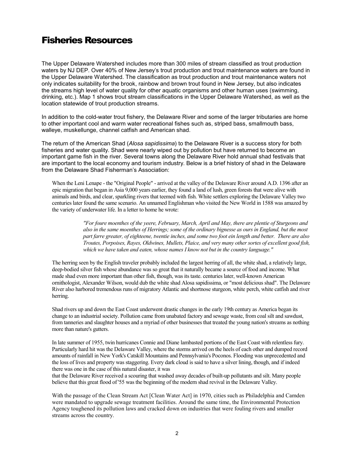### <span id="page-7-0"></span>Fisheries Resources

The Upper Delaware Watershed includes more than 300 miles of stream classified as trout production waters by NJ DEP. Over 40% of New Jersey's trout production and trout maintenance waters are found in the Upper Delaware Watershed. The classification as trout production and trout maintenance waters not only indicates suitability for the brook, rainbow and brown trout found in New Jersey, but also indicates the streams high level of water quality for other aquatic organisms and other human uses (swimming, drinking, etc.). Map 1 shows trout stream classifications in the Upper Delaware Watershed, as well as the location statewide of trout production streams.

In addition to the cold-water trout fishery, the Delaware River and some of the larger tributaries are home to other important cool and warm water recreational fishes such as, striped bass, smallmouth bass, walleye, muskellunge, channel catfish and American shad.

The return of the American Shad (*Alosa sapidissima*) to the Delaware River is a success story for both fisheries and water quality. Shad were nearly wiped out by pollution but have returned to become an important game fish in the river. Several towns along the Delaware River hold annual shad festivals that are important to the local economy and tourism industry. Below is a brief history of shad in the Delaware from the Delaware Shad Fisherman's Association:

When the Leni Lenape - the "Original People" - arrived at the valley of the Delaware River around A.D. 1396 after an epic migration that began in Asia 9,000 years earlier, they found a land of lush, green forests that were alive with animals and birds, and clear, sparkling rivers that teemed with fish. White settlers exploring the Delaware Valley two centuries later found the same scenario. An unnamed Englishman who visited the New World in 1588 was amazed by the variety of underwater life. In a letter to home he wrote:

> *"For foure moenthes of the yeere, February, March, April and May, there are plentie of Sturgeons and also in the same moenthes of Herrings; some of the ordinary bignesse as ours in England, but the most part farre greater, of eighteene, twentie inches, and some two foot ein length and better. There are also Troutes, Porpoises, Rayes, Oldwines, Mullets, Plaice, and very many other sortes of excellent good fish, which we have taken and eaten, whose names I know not but in the country language."*

The herring seen by the English traveler probably included the largest herring of all, the white shad, a relatively large, deep-bodied silver fish whose abundance was so great that it naturally became a source of food and income. What made shad even more important than other fish, though, was its taste. centuries later, well-known American ornithologist, Alexander Wilson, would dub the white shad Alosa sapidissima, or "most delicious shad". The Delaware River also harbored tremendous runs of migratory Atlantic and shortnose sturgeon, white perch, white catfish and river herring.

Shad rivers up and down the East Coast underwent drastic changes in the early 19th century as America began its change to an industrial society. Pollution came from unabated factory and sewage waste, from coal silt and sawdust, from tanneries and slaughter houses and a myriad of other businesses that treated the young nation's streams as nothing more than nature's gutters.

In late summer of 1955, twin hurricanes Connie and Diane lambasted portions of the East Coast with relentless fury. Particularly hard hit was the Delaware Valley, where the storms arrived on the heels of each other and dumped record amounts of rainfall in New York's Catskill Mountains and Pennsylvania's Poconos. Flooding was unprecedented and the loss of lives and property was staggering. Every dark cloud is said to have a silver lining, though, and if indeed there was one in the case of this natural disaster, it was

that the Delaware River received a scouring that washed away decades of built-up pollutants and silt. Many people believe that this great flood of '55 was the beginning of the modern shad revival in the Delaware Valley.

With the passage of the Clean Stream Act [Clean Water Act] in 1970, cities such as Philadelphia and Camden were mandated to upgrade sewage treatment facilities. Around the same time, the Environmental Protection Agency toughened its pollution laws and cracked down on industries that were fouling rivers and smaller streams across the country.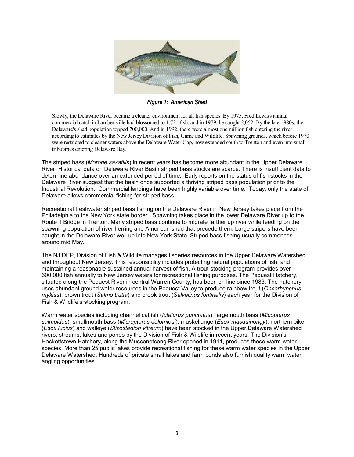

*Figure 1: American Shad* 

Slowly, the Delaware River became a cleaner environment for all fish species. By 1975, Fred Lewis's annual commercial catch in Lambertville had blossomed to 1,721 fish, and in 1979, he caught 2,052. By the late 1980s, the Delaware's shad population topped 700,000. And in 1992, there were almost one million fish entering the river according to estimates by the New Jersey Division of Fish, Game and Wildlife. Spawning grounds, which before 1970 were restricted to cleaner waters above the Delaware Water Gap, now extended south to Trenton and even into small tributaries entering Delaware Bay.

The striped bass (*Morone saxatilis*) in recent years has become more abundant in the Upper Delaware River. Historical data on Delaware River Basin striped bass stocks are scarce. There is insufficient data to determine abundance over an extended period of time. Early reports on the status of fish stocks in the Delaware River suggest that the basin once supported a thriving striped bass population prior to the Industrial Revolution. Commercial landings have been highly variable over time. Today, only the state of Delaware allows commercial fishing for striped bass.

Recreational freshwater striped bass fishing on the Delaware River in New Jersey takes place from the Philadelphia to the New York state border. Spawning takes place in the lower Delaware River up to the Route 1 Bridge in Trenton. Many striped bass continue to migrate farther up river while feeding on the spawning population of river herring and American shad that precede them. Large stripers have been caught in the Delaware River well up into New York State. Striped bass fishing usually commences around mid May.

The NJ DEP, Division of Fish & Wildlife manages fisheries resources in the Upper Delaware Watershed and throughout New Jersey. This responsibility includes protecting natural populations of fish, and maintaining a reasonable sustained annual harvest of fish. A trout-stocking program provides over 600,000 fish annually to New Jersey waters for recreational fishing purposes. The Pequest Hatchery, situated along the Pequest River in central Warren County, has been on line since 1983. The hatchery uses abundant ground water resources in the Pequest Valley to produce rainbow trout (*Oncorhynchus mykiss*), brown trout (*Salmo trutta*) and brook trout (*Salvelinus fontinalis*) each year for the Division of Fish & Wildlife's stocking program.

Warm water species including channel catfish (*Ictalurus punctatus*), largemouth bass (*Micopterus salmoides*), smallmouth bass (*Micropterus dolomieui*), muskellunge (*Esox masquinongy*), northern pike (*Esox lucius*) and walleye (*Stizostedion vitreum*) have been stocked in the Upper Delaware Watershed rivers, streams, lakes and ponds by the Division of Fish & Wildlife in recent years. The Division's Hackettstown Hatchery, along the Musconetcong River opened in 1911, produces these warm water species. More than 25 public lakes provide recreational fishing for these warm water species in the Upper Delaware Watershed. Hundreds of private small lakes and farm ponds also furnish quality warm water angling opportunities.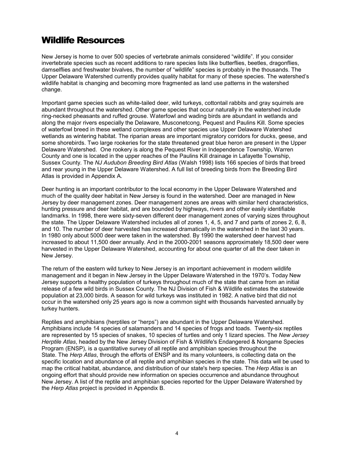### <span id="page-9-0"></span>Wildlife Resources

New Jersey is home to over 500 species of vertebrate animals considered "wildlife". If you consider invertebrate species such as recent additions to rare species lists like butterflies, beetles, dragonflies, damselflies and freshwater bivalves, the number of "wildlife" species is probably in the thousands. The Upper Delaware Watershed currently provides quality habitat for many of these species. The watershed's wildlife habitat is changing and becoming more fragmented as land use patterns in the watershed change.

Important game species such as white-tailed deer, wild turkeys, cottontail rabbits and gray squirrels are abundant throughout the watershed. Other game species that occur naturally in the watershed include ring-necked pheasants and ruffed grouse. Waterfowl and wading birds are abundant in wetlands and along the major rivers especially the Delaware, Musconetcong, Pequest and Paulins Kill. Some species of waterfowl breed in these wetland complexes and other species use Upper Delaware Watershed wetlands as wintering habitat. The riparian areas are important migratory corridors for ducks, geese, and some shorebirds. Two large rookeries for the state threatened great blue heron are present in the Upper Delaware Watershed. One rookery is along the Pequest River in Independence Township, Warren County and one is located in the upper reaches of the Paulins Kill drainage in Lafayette Township, Sussex County. The *NJ Audubon Breeding Bird Atlas* (Walsh 1998) lists 166 species of birds that breed and rear young in the Upper Delaware Watershed. A full list of breeding birds from the Breeding Bird Atlas is provided in Appendix A.

Deer hunting is an important contributor to the local economy in the Upper Delaware Watershed and much of the quality deer habitat in New Jersey is found in the watershed. Deer are managed in New Jersey by deer management zones. Deer management zones are areas with similar herd characteristics, hunting pressure and deer habitat, and are bounded by highways, rivers and other easily identifiable landmarks. In 1998, there were sixty-seven different deer management zones of varying sizes throughout the state. The Upper Delaware Watershed includes all of zones 1, 4, 5, and 7 and parts of zones 2, 6, 8, and 10. The number of deer harvested has increased dramatically in the watershed in the last 30 years. In 1980 only about 5000 deer were taken in the watershed. By 1990 the watershed deer harvest had increased to about 11,500 deer annually. And in the 2000-2001 seasons approximately 18,500 deer were harvested in the Upper Delaware Watershed, accounting for about one quarter of all the deer taken in New Jersey.

The return of the eastern wild turkey to New Jersey is an important achievement in modern wildlife management and it began in New Jersey in the Upper Delaware Watershed in the 1970's. Today New Jersey supports a healthy population of turkeys throughout much of the state that came from an initial release of a few wild birds in Sussex County. The NJ Division of Fish & Wildlife estimates the statewide population at 23,000 birds. A season for wild turkeys was instituted in 1982. A native bird that did not occur in the watershed only 25 years ago is now a common sight with thousands harvested annually by turkey hunters.

Reptiles and amphibians (herptiles or "herps") are abundant in the Upper Delaware Watershed. Amphibians include 14 species of salamanders and 14 species of frogs and toads. Twenty-six reptiles are represented by 15 species of snakes, 10 species of turtles and only 1 lizard species. The *New Jersey Herptile Atlas*, headed by the New Jersey Division of Fish & Wildlife's Endangered & Nongame Species Program (ENSP), is a quantitative survey of all reptile and amphibian species throughout the State. The *Herp Atlas*, through the efforts of ENSP and its many volunteers, is collecting data on the specific location and abundance of all reptile and amphibian species in the state. This data will be used to map the critical habitat, abundance, and distribution of our state's herp species. The *Herp Atlas* is an ongoing effort that should provide new information on species occurrence and abundance throughout New Jersey. A list of the reptile and amphibian species reported for the Upper Delaware Watershed by the *Herp Atlas* project is provided in Appendix B.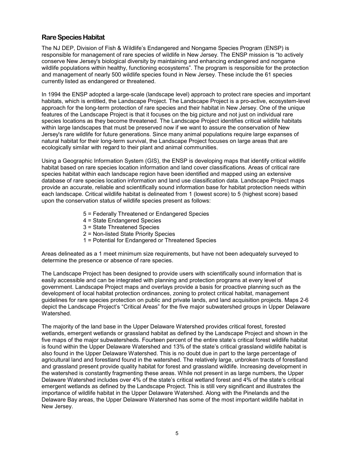#### <span id="page-10-0"></span>**Rare Species Habitat**

The NJ DEP, Division of Fish & Wildlife's Endangered and Nongame Species Program (ENSP) is responsible for management of rare species of wildlife in New Jersey. The ENSP mission is "to actively conserve New Jersey's biological diversity by maintaining and enhancing endangered and nongame wildlife populations within healthy, functioning ecosystems". The program is responsible for the protection and management of nearly 500 wildlife species found in New Jersey. These include the 61 species currently listed as endangered or threatened.

In 1994 the ENSP adopted a large-scale (landscape level) approach to protect rare species and important habitats, which is entitled, the Landscape Project. The Landscape Project is a pro-active, ecosystem-level approach for the long-term protection of rare species and their habitat in New Jersey. One of the unique features of the Landscape Project is that it focuses on the big picture and not just on individual rare species locations as they become threatened. The Landscape Project identifies critical wildlife habitats within large landscapes that must be preserved now if we want to assure the conservation of New Jersey's rare wildlife for future generations. Since many animal populations require large expanses of natural habitat for their long-term survival, the Landscape Project focuses on large areas that are ecologically similar with regard to their plant and animal communities.

Using a Geographic Information System (GIS), the ENSP is developing maps that identify critical wildlife habitat based on rare species location information and land cover classifications. Areas of critical rare species habitat within each landscape region have been identified and mapped using an extensive database of rare species location information and land use classification data. Landscape Project maps provide an accurate, reliable and scientifically sound information base for habitat protection needs within each landscape. Critical wildlife habitat is delineated from 1 (lowest score) to 5 (highest score) based upon the conservation status of wildlife species present as follows:

- 5 = Federally Threatened or Endangered Species
- 4 = State Endangered Species
- 3 = State Threatened Species
- 2 = Non-listed State Priority Species
- 1 = Potential for Endangered or Threatened Species

Areas delineated as a 1 meet minimum size requirements, but have not been adequately surveyed to determine the presence or absence of rare species.

The Landscape Project has been designed to provide users with scientifically sound information that is easily accessible and can be integrated with planning and protection programs at every level of government. Landscape Project maps and overlays provide a basis for proactive planning such as the development of local habitat protection ordinances, zoning to protect critical habitat, management guidelines for rare species protection on public and private lands, and land acquisition projects. Maps 2-6 depict the Landscape Project's "Critical Areas" for the five major subwatershed groups in Upper Delaware Watershed.

The majority of the land base in the Upper Delaware Watershed provides critical forest, forested wetlands, emergent wetlands or grassland habitat as defined by the Landscape Project and shown in the five maps of the major subwatersheds. Fourteen percent of the entire state's critical forest wildlife habitat is found within the Upper Delaware Watershed and 13% of the state's critical grassland wildlife habitat is also found in the Upper Delaware Watershed. This is no doubt due in part to the large percentage of agricultural land and forestland found in the watershed. The relatively large, unbroken tracts of forestland and grassland present provide quality habitat for forest and grassland wildlife. Increasing development in the watershed is constantly fragmenting these areas. While not present in as large numbers, the Upper Delaware Watershed includes over 4% of the state's critical wetland forest and 4% of the state's critical emergent wetlands as defined by the Landscape Project. This is still very significant and illustrates the importance of wildlife habitat in the Upper Delaware Watershed. Along with the Pinelands and the Delaware Bay areas, the Upper Delaware Watershed has some of the most important wildlife habitat in New Jersey.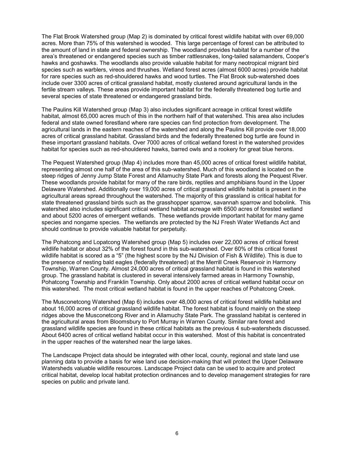The Flat Brook Watershed group (Map 2) is dominated by critical forest wildlife habitat with over 69,000 acres. More than 75% of this watershed is wooded. This large percentage of forest can be attributed to the amount of land in state and federal ownership. The woodland provides habitat for a number of the area's threatened or endangered species such as timber rattlesnakes, long-tailed salamanders, Cooper's hawks and goshawks. The woodlands also provide valuable habitat for many neotropical migrant bird species such as warblers, vireos and thrushes. Wetland forest acres (almost 6000 acres) provide habitat for rare species such as red-shouldered hawks and wood turtles. The Flat Brook sub-watershed does include over 3300 acres of critical grassland habitat, mostly clustered around agricultural lands in the fertile stream valleys. These areas provide important habitat for the federally threatened bog turtle and several species of state threatened or endangered grassland birds.

The Paulins Kill Watershed group (Map 3) also includes significant acreage in critical forest wildlife habitat, almost 65,000 acres much of this in the northern half of that watershed. This area also includes federal and state owned forestland where rare species can find protection from development. The agricultural lands in the eastern reaches of the watershed and along the Paulins Kill provide over 18,000 acres of critical grassland habitat. Grassland birds and the federally threatened bog turtle are found in these important grassland habitats. Over 7000 acres of critical wetland forest in the watershed provides habitat for species such as red-shouldered hawks, barred owls and a rookery for great blue herons.

The Pequest Watershed group (Map 4) includes more than 45,000 acres of critical forest wildlife habitat, representing almost one half of the area of this sub-watershed. Much of this woodland is located on the steep ridges of Jenny Jump State Forest and Allamuchy State Park and forests along the Pequest River. These woodlands provide habitat for many of the rare birds, reptiles and amphibians found in the Upper Delaware Watershed. Additionally over 19,000 acres of critical grassland wildlife habitat is present in the agricultural areas spread throughout the watershed. The majority of this grassland is critical habitat for state threatened grassland birds such as the grasshopper sparrow, savannah sparrow and bobolink. This watershed also includes significant critical wetland habitat acreage with 6500 acres of forested wetland and about 5200 acres of emergent wetlands. These wetlands provide important habitat for many game species and nongame species. The wetlands are protected by the NJ Fresh Water Wetlands Act and should continue to provide valuable habitat for perpetuity.

The Pohatcong and Lopatcong Watershed group (Map 5) includes over 22,000 acres of critical forest wildlife habitat or about 32% of the forest found in this sub-watershed. Over 60% of this critical forest wildlife habitat is scored as a "5" (the highest score by the NJ Division of Fish & Wildlife). This is due to the presence of nesting bald eagles (federally threatened) at the Merrill Creek Reservoir in Harmony Township, Warren County. Almost 24,000 acres of critical grassland habitat is found in this watershed group. The grassland habitat is clustered in several intensively farmed areas in Harmony Township, Pohatcong Township and Franklin Township. Only about 2000 acres of critical wetland habitat occur on this watershed. The most critical wetland habitat is found in the upper reaches of Pohatcong Creek.

The Musconetcong Watershed (Map 6) includes over 48,000 acres of critical forest wildlife habitat and about 16,000 acres of critical grassland wildlife habitat. The forest habitat is found mainly on the steep ridges above the Musconetcong River and in Allamuchy State Park. The grassland habitat is centered in the agricultural areas from Bloomsbury to Port Murray in Warren County. Similar rare forest and grassland wildlife species are found in these critical habitats as the previous 4 sub-watersheds discussed. About 6400 acres of critical wetland habitat occur in this watershed. Most of this habitat is concentrated in the upper reaches of the watershed near the large lakes.

The Landscape Project data should be integrated with other local, county, regional and state land use planning data to provide a basis for wise land use decision-making that will protect the Upper Delaware Watersheds valuable wildlife resources. Landscape Project data can be used to acquire and protect critical habitat, develop local habitat protection ordinances and to develop management strategies for rare species on public and private land.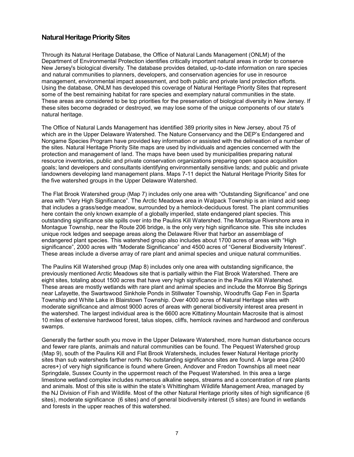#### <span id="page-12-0"></span>**Natural Heritage Priority Sites**

Through its Natural Heritage Database, the Office of Natural Lands Management (ONLM) of the Department of Environmental Protection identifies critically important natural areas in order to conserve New Jersey's biological diversity. The database provides detailed, up-to-date information on rare species and natural communities to planners, developers, and conservation agencies for use in resource management, environmental impact assessment, and both public and private land protection efforts. Using the database, ONLM has developed this coverage of Natural Heritage Priority Sites that represent some of the best remaining habitat for rare species and exemplary natural communities in the state. These areas are considered to be top priorities for the preservation of biological diversity in New Jersey. If these sites become degraded or destroyed, we may lose some of the unique components of our state's natural heritage.

The Office of Natural Lands Management has identified 389 priority sites in New Jersey, about 75 of which are in the Upper Delaware Watershed. The Nature Conservancy and the DEP's Endangered and Nongame Species Program have provided key information or assisted with the delineation of a number of the sites. Natural Heritage Priority Site maps are used by individuals and agencies concerned with the protection and management of land. The maps have been used by municipalities preparing natural resource inventories, public and private conservation organizations preparing open space acquisition goals; land developers and consultants identifying environmentally sensitive lands; and public and private landowners developing land management plans. Maps 7-11 depict the Natural Heritage Priority Sites for the five watershed groups in the Upper Delaware Watershed.

The Flat Brook Watershed group (Map 7) includes only one area with "Outstanding Significance" and one area with "Very High Significance". The Arctic Meadows area in Walpack Township is an inland acid seep that includes a grass/sedge meadow, surrounded by a hemlock-deciduous forest. The plant communities here contain the only known example of a globally imperiled, state endangered plant species. This outstanding significance site spills over into the Paulins Kill Watershed. The Montague Rivershore area in Montague Township, near the Route 206 bridge, is the only very high significance site. This site includes unique rock ledges and seepage areas along the Delaware River that harbor an assemblage of endangered plant species. This watershed group also includes about 1700 acres of areas with "High significance", 2000 acres with "Moderate Significance" and 4500 acres of "General Biodiversity Interest". These areas include a diverse array of rare plant and animal species and unique natural communities.

The Paulins Kill Watershed group (Map 8) includes only one area with outstanding significance, the previously mentioned Arctic Meadows site that is partially within the Flat Brook Watershed. There are eight sites, totaling about 1500 acres that have very high significance in the Paulins Kill Watershed. These areas are mostly wetlands with rare plant and animal species and include the Monroe Big Springs near Lafayette, the Swartswood Sinkhole Ponds in Stillwater Township, Woodruffs Gap Fen in Sparta Township and White Lake in Blairstown Township. Over 4000 acres of Natural Heritage sites with moderate significance and almost 9000 acres of areas with general biodiversity interest area present in the watershed. The largest individual area is the 6600 acre Kittatinny Mountain Macrosite that is almost 10 miles of extensive hardwood forest, talus slopes, cliffs, hemlock ravines and hardwood and coniferous swamps.

Generally the farther south you move in the Upper Delaware Watershed, more human disturbance occurs and fewer rare plants, animals and natural communities can be found. The Pequest Watershed group (Map 9), south of the Paulins Kill and Flat Brook Watersheds, includes fewer Natural Heritage priority sites than sub watersheds farther north. No outstanding significance sites are found. A large area (2400 acres+) of very high significance is found where Green, Andover and Fredon Townships all meet near Springdale, Sussex County in the uppermost reach of the Pequest Watershed. In this area a large limestone wetland complex includes numerous alkaline seeps, streams and a concentration of rare plants and animals. Most of this site is within the state's Whittingham Wildlife Management Area, managed by the NJ Division of Fish and Wildlife. Most of the other Natural Heritage priority sites of high significance (6 sites), moderate significance (6 sites) and of general biodiversity interest (5 sites) are found in wetlands and forests in the upper reaches of this watershed.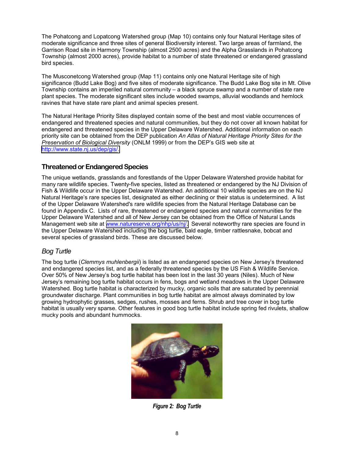<span id="page-13-0"></span>The Pohatcong and Lopatcong Watershed group (Map 10) contains only four Natural Heritage sites of moderate significance and three sites of general Biodiversity interest. Two large areas of farmland, the Garrison Road site in Harmony Township (almost 2500 acres) and the Alpha Grasslands in Pohatcong Township (almost 2000 acres), provide habitat to a number of state threatened or endangered grassland bird species.

The Musconetcong Watershed group (Map 11) contains only one Natural Heritage site of high significance (Budd Lake Bog) and five sites of moderate significance. The Budd Lake Bog site in Mt. Olive Township contains an imperiled natural community – a black spruce swamp and a number of state rare plant species. The moderate significant sites include wooded swamps, alluvial woodlands and hemlock ravines that have state rare plant and animal species present.

The Natural Heritage Priority Sites displayed contain some of the best and most viable occurrences of endangered and threatened species and natural communities, but they do not cover all known habitat for endangered and threatened species in the Upper Delaware Watershed. Additional information on each priority site can be obtained from the DEP publication *An Atlas of Natural Heritage Priority Sites for the Preservation of Biological Diversity* (ONLM 1999) or from the DEP's GIS web site at [http://www.state.nj.us/dep/gis/.](http://www.state.nj.us/dep/gis/) 

#### **Threatened or Endangered Species**

The unique wetlands, grasslands and forestlands of the Upper Delaware Watershed provide habitat for many rare wildlife species. Twenty-five species, listed as threatened or endangered by the NJ Division of Fish & Wildlife occur in the Upper Delaware Watershed. An additional 10 wildlife species are on the NJ Natural Heritage's rare species list, designated as either declining or their status is undetermined. A list of the Upper Delaware Watershed's rare wildlife species from the Natural Heritage Database can be found in Appendix C. Lists of rare, threatened or endangered species and natural communities for the Upper Delaware Watershed and all of New Jersey can be obtained from the Office of Natural Lands Management web site at [www.natureserve.org/nhp/us/nj/.](http://www.natureserve.org/nhp/us/nj/) Several noteworthy rare species are found in the Upper Delaware Watershed including the bog turtle, bald eagle, timber rattlesnake, bobcat and several species of grassland birds. These are discussed below.

#### *Bog Turtle*

The bog turtle (*Clemmys muhlenbergii*) is listed as an endangered species on New Jersey's threatened and endangered species list, and as a federally threatened species by the US Fish & Wildlife Service. Over 50% of New Jersey's bog turtle habitat has been lost in the last 30 years (Niles). Much of New Jersey's remaining bog turtle habitat occurs in fens, bogs and wetland meadows in the Upper Delaware Watershed. Bog turtle habitat is characterized by mucky, organic soils that are saturated by perennial groundwater discharge. Plant communities in bog turtle habitat are almost always dominated by low growing hydrophytic grasses, sedges, rushes, mosses and ferns. Shrub and tree cover in bog turtle habitat is usually very sparse. Other features in good bog turtle habitat include spring fed rivulets, shallow mucky pools and abundant hummocks.



*Figure 2: Bog Turtle*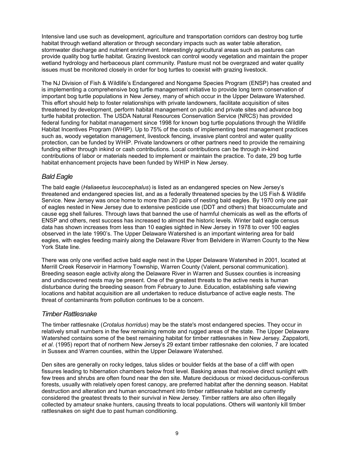Intensive land use such as development, agriculture and transportation corridors can destroy bog turtle habitat through wetland alteration or through secondary impacts such as water table alteration, stormwater discharge and nutrient enrichment. Interestingly agricultural areas such as pastures can provide quality bog turtle habitat. Grazing livestock can control woody vegetation and maintain the proper wetland hydrology and herbaceous plant community. Pasture must not be overgrazed and water quality issues must be monitored closely in order for bog turtles to coexist with grazing livestock.

The NJ Division of Fish & Wildlife's Endangered and Nongame Species Program (ENSP) has created and is implementing a comprehensive bog turtle management initiative to provide long term conservation of important bog turtle populations in New Jersey, many of which occur in the Upper Delaware Watershed. This effort should help to foster relationships with private landowners, facilitate acquisition of sites threatened by development, perform habitat management on public and private sites and advance bog turtle habitat protection. The USDA Natural Resources Conservation Service (NRCS) has provided federal funding for habitat management since 1998 for known bog turtle populations through the Wildlife Habitat Incentives Program (WHIP). Up to 75% of the costs of implementing best management practices such as, woody vegetation management, livestock fencing, invasive plant control and water quality protection, can be funded by WHIP. Private landowners or other partners need to provide the remaining funding either through inkind or cash contributions. Local contributions can be through in-kind contributions of labor or materials needed to implement or maintain the practice. To date, 29 bog turtle habitat enhancement projects have been funded by WHIP in New Jersey.

#### *Bald Eagle*

The bald eagle (*Haliaeetus leucocephalus*) is listed as an endangered species on New Jersey's threatened and endangered species list, and as a federally threatened species by the US Fish & Wildlife Service. New Jersey was once home to more than 20 pairs of nesting bald eagles. By 1970 only one pair of eagles nested in New Jersey due to extensive pesticide use (DDT and others) that bioaccumulate and cause egg shell failures. Through laws that banned the use of harmful chemicals as well as the efforts of ENSP and others, nest success has increased to almost the historic levels. Winter bald eagle census data has shown increases from less than 10 eagles sighted in New Jersey in 1978 to over 100 eagles observed in the late 1990's. The Upper Delaware Watershed is an important wintering area for bald eagles, with eagles feeding mainly along the Delaware River from Belvidere in Warren County to the New York State line.

There was only one verified active bald eagle nest in the Upper Delaware Watershed in 2001, located at Merrill Creek Reservoir in Harmony Township, Warren County (Valent, personal communication). Breeding season eagle activity along the Delaware River in Warren and Sussex counties is increasing and undiscovered nests may be present. One of the greatest threats to the active nests is human disturbance during the breeding season from February to June. Education, establishing safe viewing locations and habitat acquisition are all undertaken to reduce disturbance of active eagle nests. The threat of contaminants from pollution continues to be a concern.

#### *Timber Rattlesnake*

The timber rattlesnake (*Crotalus horridus*) may be the state's most endangered species. They occur in relatively small numbers in the few remaining remote and rugged areas of the state. The Upper Delaware Watershed contains some of the best remaining habitat for timber rattlesnakes in New Jersey. Zappalorti, *et al*. (1995) report that of northern New Jersey's 29 extant timber rattlesnake den colonies, 7 are located in Sussex and Warren counties, within the Upper Delaware Watershed.

Den sites are generally on rocky ledges, talus slides or boulder fields at the base of a cliff with open fissures leading to hibernation chambers below frost level. Basking areas that receive direct sunlight with few trees and shrubs are often found near the den site. Mature deciduous or mixed deciduous-coniferous forests, usually with relatively open forest canopy, are preferred habitat after the denning season. Habitat destruction and alteration and human encroachment into timber rattlesnake habitat are currently considered the greatest threats to their survival in New Jersey. Timber rattlers are also often illegally collected by amateur snake hunters, causing threats to local populations. Others will wantonly kill timber rattlesnakes on sight due to past human conditioning.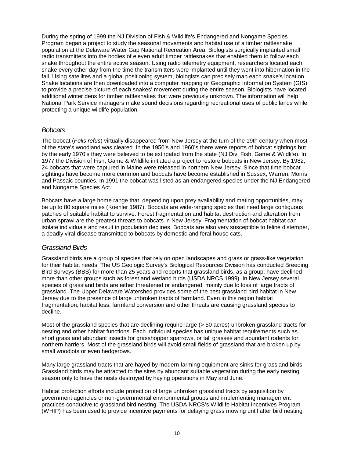During the spring of 1999 the NJ Division of Fish & Wildlife's Endangered and Nongame Species Program began a project to study the seasonal movements and habitat use of a timber rattlesnake population at the Delaware Water Gap National Recreation Area. Biologists surgically implanted small radio transmitters into the bodies of eleven adult timber rattlesnakes that enabled them to follow each snake throughout the entire active season. Using radio telemetry equipment, researchers located each snake every other day from the time the transmitters were implanted until they went into hibernation in the fall. Using satellites and a global positioning system, biologists can precisely map each snake's location. Snake locations are then downloaded into a computer mapping or Geographic Information System (GIS) to provide a precise picture of each snakes' movement during the entire season. Biologists have located additional winter dens for timber rattlesnakes that were previously unknown. The information will help National Park Service managers make sound decisions regarding recreational uses of public lands while protecting a unique wildlife population.

#### *Bobcats*

The bobcat (*Felis refus*) virtually disappeared from New Jersey at the turn of the 19th century when most of the state's woodland was cleared. In the 1950's and 1960's there were reports of bobcat sightings but by the early 1970's they were believed to be extirpated from the state (NJ Div. Fish, Game & Wildlife). In 1977 the Division of Fish, Game & Wildlife initiated a project to restore bobcats in New Jersey. By 1982, 24 bobcats that were captured in Maine were released in northern New Jersey. Since that time bobcat sightings have become more common and bobcats have become established in Sussex, Warren, Morris and Passaic counties. In 1991 the bobcat was listed as an endangered species under the NJ Endangered and Nongame Species Act.

Bobcats have a large home range that, depending upon prey availability and mating opportunities, may be up to 80 square miles (Koehler 1987). Bobcats are wide-ranging species that need large contiguous patches of suitable habitat to survive. Forest fragmentation and habitat destruction and alteration from urban sprawl are the greatest threats to bobcats in New Jersey. Fragmentation of bobcat habitat can isolate individuals and result in population declines. Bobcats are also very susceptible to feline distemper, a deadly viral disease transmitted to bobcats by domestic and feral house cats.

#### *Grassland Birds*

Grassland birds are a group of species that rely on open landscapes and grass or grass-like vegetation for their habitat needs. The US Geologic Survey's Biological Resources Division has conducted Breeding Bird Surveys (BBS) for more than 25 years and reports that grassland birds, as a group, have declined more than other groups such as forest and wetland birds (USDA NRCS 1999). In New Jersey several species of grassland birds are either threatened or endangered, mainly due to loss of large tracts of grassland. The Upper Delaware Watershed provides some of the best grassland bird habitat in New Jersey due to the presence of large unbroken tracts of farmland. Even in this region habitat fragmentation, habitat loss, farmland conversion and other threats are causing grassland species to decline.

Most of the grassland species that are declining require large (> 50 acres) unbroken grassland tracts for nesting and other habitat functions. Each individual species has unique habitat requirements such as short grass and abundant insects for grasshopper sparrows, or tall grasses and abundant rodents for northern harriers. Most of the grassland birds will avoid small fields of grassland that are broken up by small woodlots or even hedgerows.

Many large grassland tracts that are hayed by modern farming equipment are sinks for grassland birds. Grassland birds may be attracted to the sites by abundant suitable vegetation during the early nesting season only to have the nests destroyed by haying operations in May and June.

Habitat protection efforts include protection of large unbroken grassland tracts by acquisition by government agencies or non-governmental environmental groups and implementing management practices conducive to grassland bird nesting. The USDA NRCS's Wildlife Habitat Incentives Program (WHIP) has been used to provide incentive payments for delaying grass mowing until after bird nesting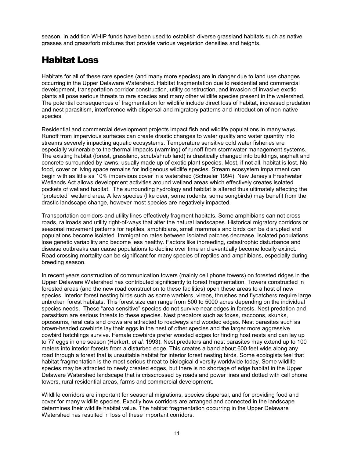<span id="page-16-0"></span>season. In addition WHIP funds have been used to establish diverse grassland habitats such as native grasses and grass/forb mixtures that provide various vegetation densities and heights.

### Habitat Loss

Habitats for all of these rare species (and many more species) are in danger due to land use changes occurring in the Upper Delaware Watershed. Habitat fragmentation due to residential and commercial development, transportation corridor construction, utility construction, and invasion of invasive exotic plants all pose serious threats to rare species and many other wildlife species present in the watershed. The potential consequences of fragmentation for wildlife include direct loss of habitat, increased predation and nest parasitism, interference with dispersal and migratory patterns and introduction of non-native species.

Residential and commercial development projects impact fish and wildlife populations in many ways. Runoff from impervious surfaces can create drastic changes to water quality and water quantity into streams severely impacting aquatic ecosystems. Temperature sensitive cold water fisheries are especially vulnerable to the thermal impacts (warming) of runoff from stormwater management systems. The existing habitat (forest, grassland, scrub/shrub land) is drastically changed into buildings, asphalt and concrete surrounded by lawns, usually made up of exotic plant species. Most, if not all, habitat is lost. No food, cover or living space remains for indigenous wildlife species. Stream ecosystem impairment can begin with as little as 10% impervious cover in a watershed (Schueler 1994). New Jersey's Freshwater Wetlands Act allows development activities around wetland areas which effectively creates isolated pockets of wetland habitat. The surrounding hydrology and habitat is altered thus ultimately affecting the "protected" wetland area. A few species (like deer, some rodents, some songbirds) may benefit from the drastic landscape change, however most species are negatively impacted.

Transportation corridors and utility lines effectively fragment habitats. Some amphibians can not cross roads, railroads and utility right-of-ways that alter the natural landscapes. Historical migratory corridors or seasonal movement patterns for reptiles, amphibians, small mammals and birds can be disrupted and populations become isolated. Immigration rates between isolated patches decrease. Isolated populations lose genetic variability and become less healthy. Factors like inbreeding, catastrophic disturbance and disease outbreaks can cause populations to decline over time and eventually become locally extinct. Road crossing mortality can be significant for many species of reptiles and amphibians, especially during breeding season.

In recent years construction of communication towers (mainly cell phone towers) on forested ridges in the Upper Delaware Watershed has contributed significantly to forest fragmentation. Towers constructed in forested areas (and the new road construction to these facilities) open these areas to a host of new species. Interior forest nesting birds such as some warblers, vireos, thrushes and flycatchers require large unbroken forest habitats. This forest size can range from 500 to 5000 acres depending on the individual species needs. These "area sensitive" species do not survive near edges in forests. Nest predation and parasitism are serious threats to these species. Nest predators such as foxes, raccoons, skunks, opossums, feral cats and crows are attracted to roadways and wooded edges. Nest parasites such as brown-headed cowbirds lay their eggs in the nest of other species and the larger more aggressive cowbird hatchlings survive. Female cowbirds prefer wooded edges for finding host nests and can lay up to 77 eggs in one season (Herkert, *et al*. 1993). Nest predators and nest parasites may extend up to 100 meters into interior forests from a disturbed edge. This creates a band about 600 feet wide along any road through a forest that is unsuitable habitat for interior forest nesting birds. Some ecologists feel that habitat fragmentation is the most serious threat to biological diversity worldwide today. Some wildlife species may be attracted to newly created edges, but there is no shortage of edge habitat in the Upper Delaware Watershed landscape that is crisscrossed by roads and power lines and dotted with cell phone towers, rural residential areas, farms and commercial development.

Wildlife corridors are important for seasonal migrations, species dispersal, and for providing food and cover for many wildlife species. Exactly how corridors are arranged and connected in the landscape determines their wildlife habitat value. The habitat fragmentation occurring in the Upper Delaware Watershed has resulted in loss of these important corridors.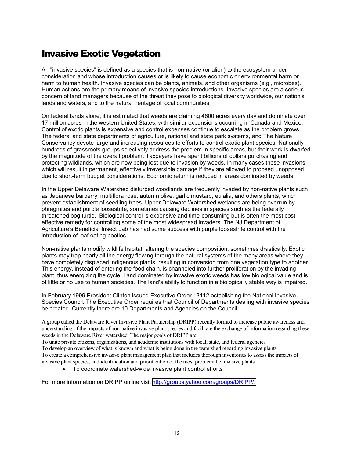### <span id="page-17-0"></span>Invasive Exotic Vegetation

An "invasive species" is defined as a species that is non-native (or alien) to the ecosystem under consideration and whose introduction causes or is likely to cause economic or environmental harm or harm to human health. Invasive species can be plants, animals, and other organisms (e.g., microbes). Human actions are the primary means of invasive species introductions. Invasive species are a serious concern of land managers because of the threat they pose to biological diversity worldwide, our nation's lands and waters, and to the natural heritage of local communities.

On federal lands alone, it is estimated that weeds are claiming 4600 acres every day and dominate over 17 million acres in the western United States, with similar expansions occurring in Canada and Mexico. Control of exotic plants is expensive and control expenses continue to escalate as the problem grows. The federal and state departments of agriculture, national and state park systems, and The Nature Conservancy devote large and increasing resources to efforts to control exotic plant species. Nationally hundreds of grassroots groups selectively address the problem in specific areas, but their work is dwarfed by the magnitude of the overall problem. Taxpayers have spent billions of dollars purchasing and protecting wildlands, which are now being lost due to invasion by weeds. In many cases these invasions- which will result in permanent, effectively irreversible damage if they are allowed to proceed unopposed due to short-term budget considerations. Economic return is reduced in areas dominated by weeds.

In the Upper Delaware Watershed disturbed woodlands are frequently invaded by non-native plants such as Japanese barberry, multiflora rose, autumn olive, garlic mustard, eulalia, and others plants, which prevent establishment of seedling trees. Upper Delaware Watershed wetlands are being overrun by phragmites and purple loosestrife, sometimes causing declines in species such as the federally threatened bog turtle. Biological control is expensive and time-consuming but is often the most costeffective remedy for controlling some of the most widespread invaders. The NJ Department of Agriculture's Beneficial Insect Lab has had some success with purple loosestrife control with the introduction of leaf eating beetles.

Non-native plants modify wildlife habitat, altering the species composition, sometimes drastically. Exotic plants may trap nearly all the energy flowing through the natural systems of the many areas where they have completely displaced indigenous plants, resulting in conversion from one vegetation type to another. This energy, instead of entering the food chain, is channeled into further proliferation by the invading plant, thus energizing the cycle. Land dominated by invasive exotic weeds has low biological value and is of little or no use to human societies. The land's ability to function in a biologically stable way is impaired.

In February 1999 President Clinton issued Executive Order 13112 establishing the National Invasive Species Council. The Executive Order requires that Council of Departments dealing with invasive species be created. Currently there are 10 Departments and Agencies on the Council.

A group called the Delaware River Invasive Plant Partnership (DRIPP) recently formed to increase public awareness and understanding of the impacts of non-native invasive plant species and facilitate the exchange of information regarding these weeds in the Delaware River watershed. The major goals of DRIPP are:

To unite private citizens, organizations, and academic institutions with local, state, and federal agencies To develop an overview of what is known and what is being done in the watershed regarding invasive plants To create a comprehensive invasive plant management plan that includes thorough inventories to assess the impacts of invasive plant species, and identification and prioritization of the most problematic invasive plants

• To coordinate watershed-wide invasive plant control efforts

For more information on DRIPP online visit [http://groups.yahoo.com/groups/DRIPP/.](http://groups.yahoo.com/groups/DRIPP/)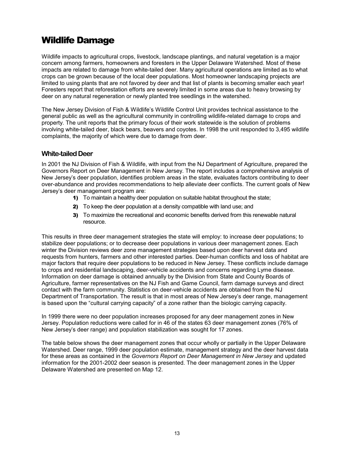### <span id="page-18-0"></span>Wildlife Damage

Wildlife impacts to agricultural crops, livestock, landscape plantings, and natural vegetation is a major concern among farmers, homeowners and foresters in the Upper Delaware Watershed. Most of these impacts are related to damage from white-tailed deer. Many agricultural operations are limited as to what crops can be grown because of the local deer populations. Most homeowner landscaping projects are limited to using plants that are not favored by deer and that list of plants is becoming smaller each year! Foresters report that reforestation efforts are severely limited in some areas due to heavy browsing by deer on any natural regeneration or newly planted tree seedlings in the watershed.

The New Jersey Division of Fish & Wildlife's Wildlife Control Unit provides technical assistance to the general public as well as the agricultural community in controlling wildlife-related damage to crops and property. The unit reports that the primary focus of their work statewide is the solution of problems involving white-tailed deer, black bears, beavers and coyotes. In 1998 the unit responded to 3,495 wildlife complaints, the majority of which were due to damage from deer.

#### **White-tailed Deer**

In 2001 the NJ Division of Fish & Wildlife, with input from the NJ Department of Agriculture, prepared the Governors Report on Deer Management in New Jersey. The report includes a comprehensive analysis of New Jersey's deer population, identifies problem areas in the state, evaluates factors contributing to deer over-abundance and provides recommendations to help alleviate deer conflicts. The current goals of New Jersey's deer management program are:

- 1) To maintain a healthy deer population on suitable habitat throughout the state;
- 2) To keep the deer population at a density compatible with land use; and
- 3) To maximize the recreational and economic benefits derived from this renewable natural resource.

This results in three deer management strategies the state will employ: to increase deer populations; to stabilize deer populations; or to decrease deer populations in various deer management zones. Each winter the Division reviews deer zone management strategies based upon deer harvest data and requests from hunters, farmers and other interested parties. Deer-human conflicts and loss of habitat are major factors that require deer populations to be reduced in New Jersey. These conflicts include damage to crops and residential landscaping, deer-vehicle accidents and concerns regarding Lyme disease. Information on deer damage is obtained annually by the Division from State and County Boards of Agriculture, farmer representatives on the NJ Fish and Game Council, farm damage surveys and direct contact with the farm community. Statistics on deer-vehicle accidents are obtained from the NJ Department of Transportation. The result is that in most areas of New Jersey's deer range, management is based upon the "cultural carrying capacity" of a zone rather than the biologic carrying capacity.

In 1999 there were no deer population increases proposed for any deer management zones in New Jersey. Population reductions were called for in 46 of the states 63 deer management zones (76% of New Jersey's deer range) and population stabilization was sought for 17 zones.

The table below shows the deer management zones that occur wholly or partially in the Upper Delaware Watershed. Deer range, 1999 deer population estimate, management strategy and the deer harvest data for these areas as contained in the *Governors Report on Deer Management in New Jersey* and updated information for the 2001-2002 deer season is presented. The deer management zones in the Upper Delaware Watershed are presented on Map 12.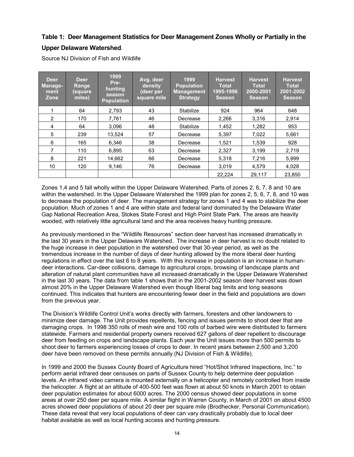#### **Table 1: Deer Management Statistics for Deer Management Zones Wholly or Partially in the**

#### **Upper Delaware Watershed**.

Source NJ Division of Fish and Wildlife

| Deer<br><b>Manage-</b><br>ment<br>Zone | <b>Deer</b><br>Range<br>(square<br>miles) | 1999<br>Pre-<br>hunting<br>season<br><b>Population</b> | Avg. deer<br>density<br>(deer per<br>square mile | 1999<br><b>Population</b><br><b>Management</b><br><b>Strategy</b> | <b>Harvest</b><br><b>Total</b><br>1995-1996<br><b>Season</b> | <b>Harvest</b><br><b>Total</b><br>2000-2001<br><b>Season</b> | <b>Harvest</b><br><b>Total</b><br>2001-2002<br><b>Season</b> |
|----------------------------------------|-------------------------------------------|--------------------------------------------------------|--------------------------------------------------|-------------------------------------------------------------------|--------------------------------------------------------------|--------------------------------------------------------------|--------------------------------------------------------------|
|                                        | 64                                        | 2,793                                                  | 43                                               | Stabilize                                                         | 924                                                          | 964                                                          | 648                                                          |
| $\overline{2}$                         | 170                                       | 7,761                                                  | 46                                               | Decrease                                                          | 2,266                                                        | 3,316                                                        | 2,914                                                        |
| 4                                      | 64                                        | 3,096                                                  | 48                                               | Stabilize                                                         | 1,452                                                        | 1,282                                                        | 953                                                          |
| 5                                      | 239                                       | 13.524                                                 | 57                                               | Decrease                                                          | 5.397                                                        | 7.022                                                        | 5.661                                                        |
| 6                                      | 165                                       | 6.346                                                  | 38                                               | Decrease                                                          | 1.521                                                        | 1.539                                                        | 928                                                          |
| 7                                      | 110                                       | 6.895                                                  | 63                                               | Decrease                                                          | 2,327                                                        | 3,199                                                        | 2,719                                                        |
| 8                                      | 221                                       | 14.662                                                 | 66                                               | Decrease                                                          | 5.318                                                        | 7,216                                                        | 5,999                                                        |
| 10                                     | 120                                       | 9,146                                                  | 76                                               | Decrease                                                          | 3,019                                                        | 4,579                                                        | 4,028                                                        |
|                                        |                                           |                                                        |                                                  |                                                                   | 22.224                                                       | 29,117                                                       | 23.850                                                       |

Zones 1,4 and 5 fall wholly within the Upper Delaware Watershed. Parts of zones 2, 6, 7, 8 and 10 are within the watershed. In the Upper Delaware Watershed the 1999 plan for zones 2, 5, 6, 7, 8, and 10 was to decrease the population of deer. The management strategy for zones 1 and 4 was to stabilize the deer population. Much of zones 1 and 4 are within state and federal land dominated by the Delaware Water Gap National Recreation Area, Stokes State Forest and High Point State Park. The areas are heavily wooded, with relatively little agricultural land and the area receives heavy hunting pressure.

As previously mentioned in the "Wildlife Resources" section deer harvest has increased dramatically in the last 30 years in the Upper Delaware Watershed. The increase in deer harvest is no doubt related to the huge increase in deer population in the watershed over that 30-year period, as well as the tremendous increase in the number of days of deer hunting allowed by the more liberal deer hunting regulations in effect over the last 6 to 8 years. With this increase in population is an increase in humandeer interactions. Car-deer collisions, damage to agricultural crops, browsing of landscape plants and alteration of natural plant communities have all increased dramatically in the Upper Delaware Watershed in the last 30 years. The data from table 1 shows that in the 2001-2002 season deer harvest was down almost 20% in the Upper Delaware Watershed even though liberal bag limits and long seasons continued. This indicates that hunters are encountering fewer deer in the field and populations are down from the previous year.

The Division's Wildlife Control Unit's works directly with farmers, foresters and other landowners to minimize deer damage. The Unit provides repellents, fencing and issues permits to shoot deer that are damaging crops. In 1998 350 rolls of mesh wire and 100 rolls of barbed wire were distributed to farmers statewide. Farmers and residential property owners received 627 gallons of deer repellent to discourage deer from feeding on crops and landscape plants. Each year the Unit issues more than 500 permits to shoot deer to farmers experiencing losses of crops to deer. In recent years between 2,500 and 3,200 deer have been removed on these permits annually (NJ Division of Fish & Wildlife).

In 1999 and 2000 the Sussex County Board of Agriculture hired "Hot/Shot Infrared Inspections, Inc." to perform aerial infrared deer censuses on parts of Sussex County to help determine deer population levels. An infrared video camera is mounted externally on a helicopter and remotely controlled from inside the helicopter. A flight at an altitude of 400-500 feet was flown at about 50 knots in March 2001 to obtain deer population estimates for about 6000 acres. The 2000 census showed deer populations in some areas at over 250 deer per square mile. A similar flight in Warren County, in March of 2001 on about 4500 acres showed deer populations of about 20 deer per square mile (Brodhecker, Personal Communication). These data reveal that very local populations of deer can vary drastically probably due to local deer habitat available as well as local hunting access and hunting pressure.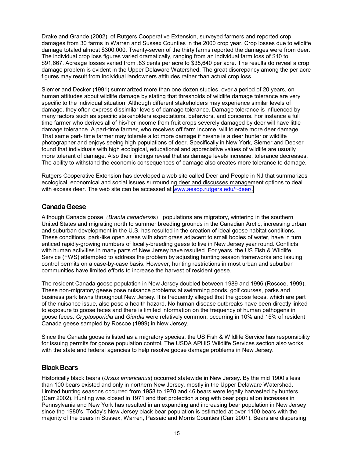<span id="page-20-0"></span>Drake and Grande (2002), of Rutgers Cooperative Extension, surveyed farmers and reported crop damages from 30 farms in Warren and Sussex Counties in the 2000 crop year. Crop losses due to wildlife damage totaled almost \$300,000. Twenty-seven of the thirty farms reported the damages were from deer. The individual crop loss figures varied dramatically, ranging from an individual farm loss of \$10 to \$91,667. Acreage losses varied from .83 cents per acre to \$35,640 per acre. The results do reveal a crop damage problem is evident in the Upper Delaware Watershed. The great discrepancy among the per acre figures may result from individual landowners attitudes rather than actual crop loss.

Siemer and Decker (1991) summarized more than one dozen studies, over a period of 20 years, on human attitudes about wildlife damage by stating that thresholds of wildlife damage tolerance are very specific to the individual situation. Although different stakeholders may experience similar levels of damage, they often express dissimilar levels of damage tolerance. Damage tolerance is influenced by many factors such as specific stakeholders expectations, behaviors, and concerns. For instance a full time farmer who derives all of his/her income from fruit crops severely damaged by deer will have little damage tolerance. A part-time farmer, who receives off farm income, will tolerate more deer damage. That same part- time farmer may tolerate a lot more damage if he/she is a deer hunter or wildlife photographer and enjoys seeing high populations of deer. Specifically in New York, Siemer and Decker found that individuals with high ecological, educational and appreciative values of wildlife are usually more tolerant of damage. Also their findings reveal that as damage levels increase, tolerance decreases. The ability to withstand the economic consequences of damage also creates more tolerance to damage.

Rutgers Cooperative Extension has developed a web site called Deer and People in NJ that summarizes ecological, economical and social issues surrounding deer and discusses management options to deal with excess deer. The web site can be accessed at www.aesop.rutgers.edu/~deer/.

#### **Canada Geese**

Although Canada goose *(Branta canadensi*s) populations are migratory, wintering in the southern United States and migrating north to summer breeding grounds in the Canadian Arctic, increasing urban and suburban development in the U.S. has resulted in the creation of ideal goose habitat conditions. These conditions, park-like open areas with short grass adjacent to small bodies of water, have in turn enticed rapidly-growing numbers of locally-breeding geese to live in New Jersey year round. Conflicts with human activities in many parts of New Jersey have resulted. For years, the US Fish & Wildlife Service (FWS) attempted to address the problem by adjusting hunting season frameworks and issuing control permits on a case-by-case basis. However, hunting restrictions in most urban and suburban communities have limited efforts to increase the harvest of resident geese.

The resident Canada goose population in New Jersey doubled between 1989 and 1996 (Roscoe, 1999). These non-migratory geese pose nuisance problems at swimming ponds, golf courses, parks and business park lawns throughout New Jersey. It is frequently alleged that the goose feces, which are part of the nuisance issue, also pose a health hazard. No human disease outbreaks have been directly linked to exposure to goose feces and there is limited information on the frequency of human pathogens in goose feces. *Cryptosporidia* and *Giardia* were relatively common, occurring in 10% and 15% of resident Canada geese sampled by Roscoe (1999) in New Jersey.

Since the Canada goose is listed as a migratory species, the US Fish & Wildlife Service has responsibility for issuing permits for goose population control. The USDA APHIS Wildlife Services section also works with the state and federal agencies to help resolve goose damage problems in New Jersey.

#### **Black Bears**

Historically black bears (*Ursus americanus*) occurred statewide in New Jersey. By the mid 1900's less than 100 bears existed and only in northern New Jersey, mostly in the Upper Delaware Watershed. Limited hunting seasons occurred from 1958 to 1970 and 46 bears were legally harvested by hunters (Carr 2002). Hunting was closed in 1971 and that protection along with bear population increases in Pennsylvania and New York has resulted in an expanding and increasing bear population in New Jersey since the 1980's. Today's New Jersey black bear population is estimated at over 1100 bears with the majority of the bears in Sussex, Warren, Passaic and Morris Counties (Carr 2001). Bears are dispersing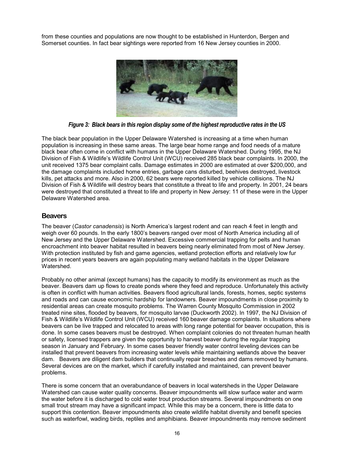<span id="page-21-0"></span>from these counties and populations are now thought to be established in Hunterdon, Bergen and Somerset counties. In fact bear sightings were reported from 16 New Jersey counties in 2000.



*Figure 3: Black bears in this region display some of the highest reproductive rates in the US* 

The black bear population in the Upper Delaware Watershed is increasing at a time when human population is increasing in these same areas. The large bear home range and food needs of a mature black bear often come in conflict with humans in the Upper Delaware Watershed. During 1995, the NJ Division of Fish & Wildlife's Wildlife Control Unit (WCU) received 285 black bear complaints. In 2000, the unit received 1375 bear complaint calls. Damage estimates in 2000 are estimated at over \$200,000, and the damage complaints included home entries, garbage cans disturbed, beehives destroyed, livestock kills, pet attacks and more. Also in 2000, 62 bears were reported killed by vehicle collisions. The NJ Division of Fish & Wildlife will destroy bears that constitute a threat to life and property. In 2001, 24 bears were destroyed that constituted a threat to life and property in New Jersey: 11 of these were in the Upper Delaware Watershed area.

#### **Beavers**

The beaver (*Castor canadensis*) is North America's largest rodent and can reach 4 feet in length and weigh over 60 pounds. In the early 1800's beavers ranged over most of North America including all of New Jersey and the Upper Delaware Watershed. Excessive commercial trapping for pelts and human encroachment into beaver habitat resulted in beavers being nearly eliminated from most of New Jersey. With protection instituted by fish and game agencies, wetland protection efforts and relatively low fur prices in recent years beavers are again populating many wetland habitats in the Upper Delaware Watershed.

Probably no other animal (except humans) has the capacity to modify its environment as much as the beaver. Beavers dam up flows to create ponds where they feed and reproduce. Unfortunately this activity is often in conflict with human activities. Beavers flood agricultural lands, forests, homes, septic systems and roads and can cause economic hardship for landowners. Beaver impoundments in close proximity to residential areas can create mosquito problems. The Warren County Mosquito Commission in 2002 treated nine sites, flooded by beavers, for mosquito larvae (Duckworth 2002). In 1997, the NJ Division of Fish & Wildlife's Wildlife Control Unit (WCU) received 160 beaver damage complaints. In situations where beavers can be live trapped and relocated to areas with long range potential for beaver occupation, this is done. In some cases beavers must be destroyed. When complaint colonies do not threaten human health or safety, licensed trappers are given the opportunity to harvest beaver during the regular trapping season in January and February. In some cases beaver friendly water control leveling devices can be installed that prevent beavers from increasing water levels while maintaining wetlands above the beaver dam. Beavers are diligent dam builders that continually repair breaches and dams removed by humans. Several devices are on the market, which if carefully installed and maintained, can prevent beaver problems.

There is some concern that an overabundance of beavers in local watersheds in the Upper Delaware Watershed can cause water quality concerns. Beaver impoundments will slow surface water and warm the water before it is discharged to cold water trout production streams. Several impoundments on one small trout stream may have a significant impact. While this may be a concern, there is little data to support this contention. Beaver impoundments also create wildlife habitat diversity and benefit species such as waterfowl, wading birds, reptiles and amphibians. Beaver impoundments may remove sediment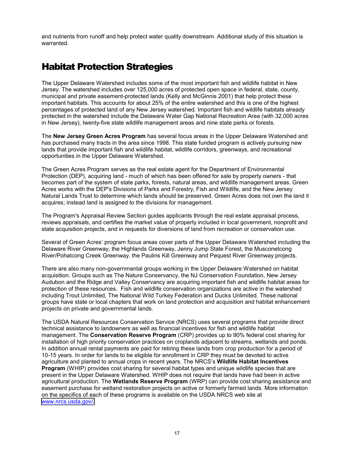<span id="page-22-0"></span>and nutrients from runoff and help protect water quality downstream. Additional study of this situation is warranted.

### Habitat Protection Strategies

The Upper Delaware Watershed includes some of the most important fish and wildlife habitat in New Jersey. The watershed includes over 125,000 acres of protected open space in federal, state, county, municipal and private easement-protected lands (Kelly and McGinnis 2001) that help protect these important habitats. This accounts for about 25% of the entire watershed and this is one of the highest percentages of protected land of any New Jersey watershed. Important fish and wildlife habitats already protected in the watershed include the Delaware Water Gap National Recreation Area (with 32,000 acres in New Jersey), twenty-five state wildlife management areas and nine state parks or forests.

The **New Jersey Green Acres Program** has several focus areas in the Upper Delaware Watershed and has purchased many tracts in the area since 1998. This state funded program is actively pursuing new lands that provide important fish and wildlife habitat, wildlife corridors, greenways, and recreational opportunities in the Upper Delaware Watershed.

The Green Acres Program serves as the real estate agent for the Department of Environmental Protection (DEP), acquiring land - much of which has been offered for sale by property owners - that becomes part of the system of state parks, forests, natural areas, and wildlife management areas. Green Acres works with the DEP's Divisions of Parks and Forestry, Fish and Wildlife, and the New Jersey Natural Lands Trust to determine which lands should be preserved. Green Acres does not own the land it acquires; instead land is assigned to the divisions for management.

The Program's Appraisal Review Section guides applicants through the real estate appraisal process, reviews appraisals, and certifies the market value of property included in local government, nonprofit and state acquisition projects, and in requests for diversions of land from recreation or conservation use.

Several of Green Acres' program focus areas cover parts of the Upper Delaware Watershed including the Delaware River Greenway, the Highlands Greenway, Jenny Jump State Forest, the Musconetcong River/Pohatcong Creek Greenway, the Paulins Kill Greenway and Pequest River Greenway projects.

There are also many non-governmental groups working in the Upper Delaware Watershed on habitat acquisition. Groups such as The Nature Conservancy, the NJ Conservation Foundation, New Jersey Audubon and the Ridge and Valley Conservancy are acquiring important fish and wildlife habitat areas for protection of these resources. Fish and wildlife conservation organizations are active in the watershed including Trout Unlimited, The National Wild Turkey Federation and Ducks Unlimited. These national groups have state or local chapters that work on land protection and acquisition and habitat enhancement projects on private and governmental lands.

The USDA Natural Resources Conservation Service (NRCS) uses several programs that provide direct technical assistance to landowners as well as financial incentives for fish and wildlife habitat management. The **Conservation Reserve Program** (CRP) provides up to 90% federal cost sharing for installation of high priority conservation practices on croplands adjacent to streams, wetlands and ponds. In addition annual rental payments are paid for retiring these lands from crop production for a period of 10-15 years. In order for lands to be eligible for enrollment in CRP they must be devoted to active agriculture and planted to annual crops in recent years. The NRCS's **Wildlife Habitat Incentives Program** (WHIP) provides cost sharing for several habitat types and unique wildlife species that are present in the Upper Delaware Watershed. WHIP does not require that lands have had been in active agricultural production. The **Wetlands Reserve Program** (WRP) can provide cost sharing assistance and easement purchase for wetland restoration projects on active or formerly farmed lands. More information on the specifics of each of these programs is available on the USDA NRCS web site at [www.nrcs.usda.gov/.](http://www.nrcs.usda.gov/)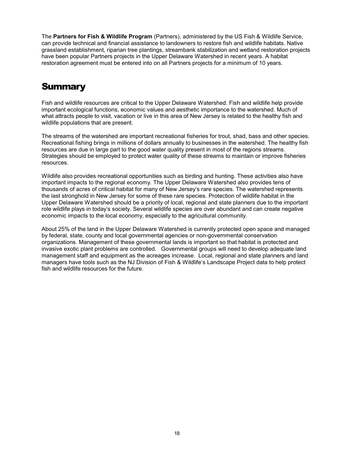<span id="page-23-0"></span>The **Partners for Fish & Wildlife Program** (Partners), administered by the US Fish & Wildlife Service, can provide technical and financial assistance to landowners to restore fish and wildlife habitats. Native grassland establishment, riparian tree plantings, streambank stabilization and wetland restoration projects have been popular Partners projects in the Upper Delaware Watershed in recent years. A habitat restoration agreement must be entered into on all Partners projects for a minimum of 10 years.

### **Summary**

Fish and wildlife resources are critical to the Upper Delaware Watershed. Fish and wildlife help provide important ecological functions, economic values and aesthetic importance to the watershed. Much of what attracts people to visit, vacation or live in this area of New Jersey is related to the healthy fish and wildlife populations that are present.

The streams of the watershed are important recreational fisheries for trout, shad, bass and other species. Recreational fishing brings in millions of dollars annually to businesses in the watershed. The healthy fish resources are due in large part to the good water quality present in most of the regions streams. Strategies should be employed to protect water quality of these streams to maintain or improve fisheries resources.

Wildlife also provides recreational opportunities such as birding and hunting. These activities also have important impacts to the regional economy. The Upper Delaware Watershed also provides tens of thousands of acres of critical habitat for many of New Jersey's rare species. The watershed represents the last stronghold in New Jersey for some of these rare species. Protection of wildlife habitat in the Upper Delaware Watershed should be a priority of local, regional and state planners due to the important role wildlife plays in today's society. Several wildlife species are over abundant and can create negative economic impacts to the local economy, especially to the agricultural community.

About 25% of the land in the Upper Delaware Watershed is currently protected open space and managed by federal, state, county and local governmental agencies or non-governmental conservation organizations. Management of these governmental lands is important so that habitat is protected and invasive exotic plant problems are controlled. Governmental groups will need to develop adequate land management staff and equipment as the acreages increase. Local, regional and state planners and land managers have tools such as the NJ Division of Fish & Wildlife's Landscape Project data to help protect fish and wildlife resources for the future.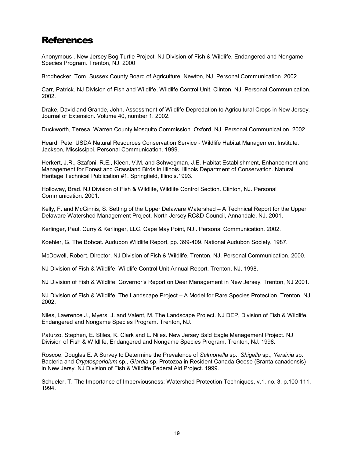### <span id="page-24-0"></span>**References**

Anonymous . New Jersey Bog Turtle Project. NJ Division of Fish & Wildlife, Endangered and Nongame Species Program. Trenton, NJ. 2000

Brodhecker, Tom. Sussex County Board of Agriculture. Newton, NJ. Personal Communication. 2002.

Carr, Patrick. NJ Division of Fish and Wildlife, Wildlife Control Unit. Clinton, NJ. Personal Communication. 2002.

Drake, David and Grande, John. Assessment of Wildlife Depredation to Agricultural Crops in New Jersey. Journal of Extension. Volume 40, number 1. 2002.

Duckworth, Teresa. Warren County Mosquito Commission. Oxford, NJ. Personal Communication. 2002.

Heard, Pete. USDA Natural Resources Conservation Service - Wildlife Habitat Management Institute. Jackson, Mississippi. Personal Communication. 1999.

Herkert, J.R., Szafoni, R.E., Kleen, V.M. and Schwegman, J.E. Habitat Establishment, Enhancement and Management for Forest and Grassland Birds in Illinois. Illinois Department of Conservation. Natural Heritage Technical Publication #1. Springfield, Illinois.1993.

Holloway, Brad. NJ Division of Fish & Wildlife, Wildlife Control Section. Clinton, NJ. Personal Communication. 2001.

Kelly, F. and McGinnis, S. Setting of the Upper Delaware Watershed – A Technical Report for the Upper Delaware Watershed Management Project. North Jersey RC&D Council, Annandale, NJ. 2001.

Kerlinger, Paul. Curry & Kerlinger, LLC. Cape May Point, NJ . Personal Communication. 2002.

Koehler, G. The Bobcat. Audubon Wildlife Report, pp. 399-409. National Audubon Society. 1987.

McDowell, Robert. Director, NJ Division of Fish & Wildlife. Trenton, NJ. Personal Communication. 2000.

NJ Division of Fish & Wildlife. Wildlife Control Unit Annual Report. Trenton, NJ. 1998.

NJ Division of Fish & Wildlife. Governor's Report on Deer Management in New Jersey. Trenton, NJ 2001.

NJ Division of Fish & Wildlife. The Landscape Project – A Model for Rare Species Protection. Trenton, NJ 2002.

Niles, Lawrence J., Myers, J. and Valent, M. The Landscape Project. NJ DEP, Division of Fish & Wildlife, Endangered and Nongame Species Program. Trenton, NJ.

Paturzo, Stephen, E. Stiles, K. Clark and L. Niles. New Jersey Bald Eagle Management Project. NJ Division of Fish & Wildlife, Endangered and Nongame Species Program. Trenton, NJ. 1998.

Roscoe, Douglas E. A Survey to Determine the Prevalence of *Salmonella* sp., *Shigella* sp., *Yersinia* sp. Bacteria and *Cryptosporidium* sp., *Giardia* sp. Protozoa in Resident Canada Geese (Branta canadensis) in New Jersy. NJ Division of Fish & Wildlife Federal Aid Project. 1999.

Schueler, T. The Importance of Imperviousness: Watershed Protection Techniques, v.1, no. 3, p.100-111. 1994.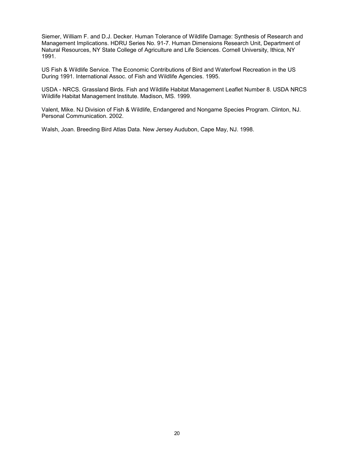Siemer, William F. and D.J. Decker. Human Tolerance of Wildlife Damage: Synthesis of Research and Management Implications. HDRU Series No. 91-7. Human Dimensions Research Unit, Department of Natural Resources, NY State College of Agriculture and Life Sciences. Cornell University, Ithica, NY 1991.

US Fish & Wildlife Service. The Economic Contributions of Bird and Waterfowl Recreation in the US During 1991. International Assoc. of Fish and Wildlife Agencies. 1995.

USDA - NRCS. Grassland Birds. Fish and Wildlife Habitat Management Leaflet Number 8. USDA NRCS Wildlife Habitat Management Institute. Madison, MS. 1999.

Valent, Mike. NJ Division of Fish & Wildlife, Endangered and Nongame Species Program. Clinton, NJ. Personal Communication. 2002.

Walsh, Joan. Breeding Bird Atlas Data. New Jersey Audubon, Cape May, NJ. 1998.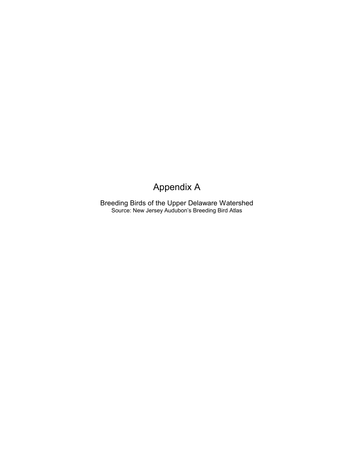### Appendix A

Breeding Birds of the Upper Delaware Watershed Source: New Jersey Audubon's Breeding Bird Atlas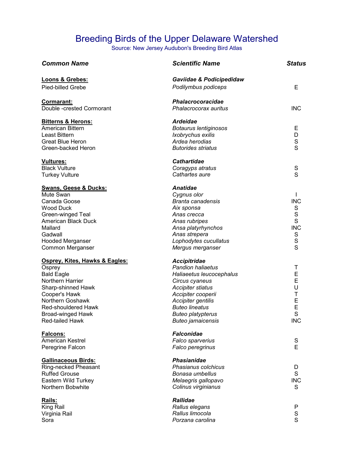### Breeding Birds of the Upper Delaware Watershed

Source: New Jersey Audubon's Breeding Bird Atlas

| <b>Common Name</b>               | <b>Scientific Name</b>    | <b>Status</b> |
|----------------------------------|---------------------------|---------------|
| Loons & Grebes:                  | Gaviidae & Podicipedidaw  |               |
| Pied-billed Grebe                | Podilymbus podiceps       | Е             |
| Cormarant:                       | Phalacrocoracidae         |               |
| Double-crested Cormorant         | Phalacrocorax auritus     | <b>INC</b>    |
| <b>Bitterns &amp; Herons:</b>    | <b>Ardeidae</b>           |               |
| American Bittern                 | Botaurus lentiginosos     | E             |
| Least Bittern                    | Ixobrychus exilis         | D             |
| <b>Great Blue Heron</b>          | Ardea herodias            | s<br>s        |
| Green-backed Heron               | <b>Butorides striatus</b> |               |
| <b>Vultures:</b>                 | <b>Cathartidae</b>        |               |
| <b>Black Vulture</b>             | Coragyps atratus          | S             |
| <b>Turkey Vulture</b>            | Cathartes aure            | S             |
| <b>Swans, Geese &amp; Ducks:</b> | <b>Anatidae</b>           |               |
| Mute Swan                        | Cygnus olor               | L             |
| Canada Goose                     | <b>Branta canadensis</b>  | <b>INC</b>    |
| Wood Duck                        | Aix sponsa                | S             |
| Green-winged Teal                | Anas crecca               |               |
| American Black Duck              | Anas rubripes             | $\frac{S}{S}$ |
| Mallard                          | Ansa platyrhynchos        | <b>INC</b>    |
| Gadwall                          | Anas strepera             |               |
| <b>Hooded Merganser</b>          | Lophodytes cucullatus     |               |
| Common Merganser                 | Mergus merganser          | s<br>s<br>s   |
| Osprey, Kites, Hawks & Eagles:   | <b>Accipitridae</b>       |               |
| Osprey                           | <b>Pandion haliaetus</b>  | T             |
| <b>Bald Eagle</b>                | Haliaeetus leucocephalus  | E             |
| Northern Harrier                 | Circus cyaneus            | E             |
| Sharp-shinned Hawk               | <b>Accipiter stiatus</b>  | U             |
| Cooper's Hawk                    | Accipiter cooperii        | T             |
| Northern Goshawk                 | Accipiter gentilis        | E             |
| Red-shouldered Hawk              | <b>Buteo lineatus</b>     | E             |
| <b>Broad-winged Hawk</b>         | <b>Buteo platypterus</b>  | S             |
| Red-tailed Hawk                  | <b>Buteo jamaicensis</b>  | <b>INC</b>    |
| Falcons:                         | <b>Falconidae</b>         |               |
| American Kestrel                 | Falco sparverius          | S             |
| Peregrine Falcon                 | Falco peregrinus          | E             |
| <b>Gallinaceous Birds:</b>       | <b>Phasianidae</b>        |               |
| Ring-necked Pheasant             | Phasianus colchicus       | D             |
| <b>Ruffed Grouse</b>             | Bonasa umbellus           | S             |
| Eastern Wild Turkey              | Melaegris gallopavo       | <b>INC</b>    |
| Northern Bobwhite                | Colinus virginianus       | S             |
| Rails:                           | <b>Rallidae</b>           |               |
| King Rail                        | Rallus elegans            | P             |
| Virginia Rail                    | Rallus limocola           | S<br>S        |
| Sora                             | Porzana carolina          |               |
|                                  |                           |               |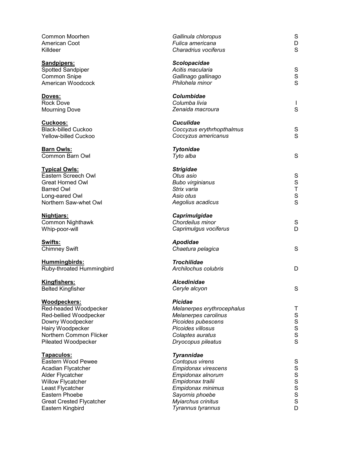| Killdeer                   | Common Moorhen<br>American Coot                                                                                                                                                | Gallinula chloropus<br>Fulica americana<br>Charadrius vociferus                                                                                                                          | ${\mathsf S}$<br>D<br>S                                                                                                                      |
|----------------------------|--------------------------------------------------------------------------------------------------------------------------------------------------------------------------------|------------------------------------------------------------------------------------------------------------------------------------------------------------------------------------------|----------------------------------------------------------------------------------------------------------------------------------------------|
| <b>Sandpipers:</b>         | Spotted Sandpiper<br><b>Common Snipe</b><br>American Woodcock                                                                                                                  | Scolopacidae<br>Acitis macularia<br>Gallinago gallinago<br>Philohela minor                                                                                                               | ${\mathsf S}$<br>$\frac{\mathsf{S}}{\mathsf{S}}$                                                                                             |
| Doves:<br><b>Rock Dove</b> | <b>Mourning Dove</b>                                                                                                                                                           | Columbidae<br>Columba livia<br>Zenaida macroura                                                                                                                                          | $\mathsf{S}$                                                                                                                                 |
| Cuckoos:                   | <b>Black-billed Cuckoo</b><br><b>Yellow-billed Cuckoo</b>                                                                                                                      | <b>Cuculidae</b><br>Coccyzus erythrhopthalmus<br>Coccyzus americanus                                                                                                                     | $\mathbf S$<br>$\mathsf{S}$                                                                                                                  |
| <b>Barn Owls:</b>          | Common Barn Owl                                                                                                                                                                | <b>Tytonidae</b><br>Tyto alba                                                                                                                                                            | S                                                                                                                                            |
| <b>Barred Owl</b>          | <b>Typical Owls:</b><br>Eastern Screech Owl<br><b>Great Horned Owl</b><br>Long-eared Owl<br>Northern Saw-whet Owl                                                              | <b>Strigidae</b><br>Otus asio<br><b>Bubo virginianus</b><br>Strix varia<br>Asio otus<br>Aegolius acadicus                                                                                | S<br>S<br>T<br>$\mathbf S$<br>$\mathsf{S}$                                                                                                   |
| Nightjars:                 | Common Nighthawk<br>Whip-poor-will                                                                                                                                             | Caprimulgidae<br>Chordeilus minor<br>Caprimulgus vociferus                                                                                                                               | S<br>D                                                                                                                                       |
| Swifts:                    | <b>Chimney Swift</b>                                                                                                                                                           | Apodidae<br>Chaetura pelagica                                                                                                                                                            | $\mathbf S$                                                                                                                                  |
|                            | Hummingbirds:<br>Ruby-throated Hummingbird                                                                                                                                     | <b>Trochilidae</b><br>Archilochus colubris                                                                                                                                               | D                                                                                                                                            |
| Kingfishers:               | <b>Belted Kingfisher</b>                                                                                                                                                       | <b>Alcedinidae</b><br>Ceryle alcyon                                                                                                                                                      | S                                                                                                                                            |
|                            | Woodpeckers:<br>Red-headed Woodpecker<br>Red-bellied Woodpecker<br>Downy Woodpecker<br>Hairy Woodpecker<br>Northern Common Flicker<br>Pileated Woodpecker                      | <b>Picidae</b><br>Melanerpes erythrocephalus<br>Melanerpes carolinus<br>Picoides pubescens<br>Picoides villosus<br>Colaptes auratus<br>Dryocopus pileatus                                | Τ<br>S<br>S<br>S<br>S<br>S<br>S                                                                                                              |
| Tapaculos:                 | Eastern Wood Pewee<br>Acadian Flycatcher<br>Alder Flycatcher<br>Willow Flycatcher<br>Least Flycatcher<br>Eastern Phoebe<br><b>Great Crested Flycatcher</b><br>Eastern Kingbird | <b>Tyrannidae</b><br>Contopus virens<br>Empidonax virescens<br>Empidonax alnorum<br>Empidonax trailii<br>Empidonax minimus<br>Sayornis phoebe<br>Myiarchus crinitus<br>Tyrannus tyrannus | S<br>S<br>S<br>S<br>S<br>S<br>S<br>S<br>S<br>S<br>S<br><br><br><br><br><br><br><br><br><br><br><br><br><br><br><br><br><br><br><br><br><br>D |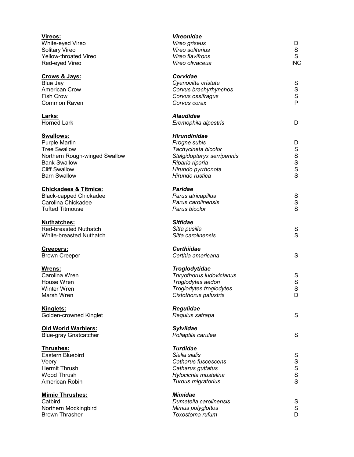| Vireos:<br>White-eyed Vireo<br>Solitary Vireo<br>Yellow-throated Vireo<br>Red-eyed Vireo                                                                        | <b>Vireonidae</b><br>Vireo griseus<br>Vireo solitarius<br>Vireo flavifrons<br>Vireo olivaceua                                                        | D<br>S<br>S<br><b>INC</b>             |
|-----------------------------------------------------------------------------------------------------------------------------------------------------------------|------------------------------------------------------------------------------------------------------------------------------------------------------|---------------------------------------|
| Crows & Jays:<br>Blue Jay<br><b>American Crow</b><br><b>Fish Crow</b><br>Common Raven                                                                           | Corvidae<br>Cyanocitta cristata<br>Corvus brachyrhynchos<br>Corvus ossifragus<br>Corvus corax                                                        | S<br>$\mathbf S$<br>$\mathsf{s}$<br>P |
| Larks:<br><b>Horned Lark</b>                                                                                                                                    | <b>Alaudidae</b><br>Eremophila alpestris                                                                                                             | D                                     |
| <b>Swallows:</b><br>Purple Martin<br><b>Tree Swallow</b><br>Northern Rough-winged Swallow<br><b>Bank Swallow</b><br><b>Cliff Swallow</b><br><b>Barn Swallow</b> | <b>Hirundinidae</b><br>Progne subis<br>Tachycineta bicolor<br>Stelgidopteryx serripennis<br>Riparia riparia<br>Hirundo pyrrhonota<br>Hirundo rustica | D<br>$\mathbf S$<br>S<br>S<br>S<br>S  |
| <b>Chickadees &amp; Titmice:</b><br><b>Black-capped Chickadee</b><br>Carolina Chickadee<br><b>Tufted Titmouse</b>                                               | <b>Paridae</b><br>Parus atricapillus<br>Parus carolinensis<br>Parus bicolor                                                                          | S<br>$\mathsf S$<br>S                 |
| <b>Nuthatches:</b><br><b>Red-breasted Nuthatch</b><br>White-breasted Nuthatch                                                                                   | <b>Sittidae</b><br>Sitta pusilla<br>Sitta carolinensis                                                                                               | S<br>S                                |
| Creepers:<br><b>Brown Creeper</b>                                                                                                                               | <b>Certhiidae</b><br>Certhia americana                                                                                                               | S                                     |
| Wrens:<br>Carolina Wren<br>House Wren<br>Winter Wren<br>Marsh Wren                                                                                              | Troglodytidae<br>Thryothorus Iudovicianus<br>Troglodytes aedon<br>Troglodytes troglodytes<br>Cistothorus palustris                                   | S<br>$\mathbf S$<br>S<br>D            |
| <b>Kinglets:</b><br>Golden-crowned Kinglet                                                                                                                      | <b>Regulidae</b><br>Regulus satrapa                                                                                                                  | S                                     |
| <b>Old World Warblers:</b><br><b>Blue-gray Gnatcatcher</b>                                                                                                      | Sylviidae<br>Poliaptila carulea                                                                                                                      | S                                     |
| Thrushes:<br>Eastern Bluebird<br>Veery<br>Hermit Thrush<br>Wood Thrush<br>American Robin                                                                        | <b>Turdidae</b><br>Sialia sialis<br>Catharus fuscescens<br>Catharus guttatus<br>Hylocichla mustelina<br>Turdus migratorius                           | S<br>S<br>S<br>S<br>S                 |
| <b>Mimic Thrushes:</b><br>Catbird<br>Northern Mockingbird<br><b>Brown Thrasher</b>                                                                              | <b>Mimidae</b><br>Dumetella carolinensis<br>Mimus polyglottos<br>Toxostoma rufum                                                                     | S<br>$\mathsf{s}$<br>D                |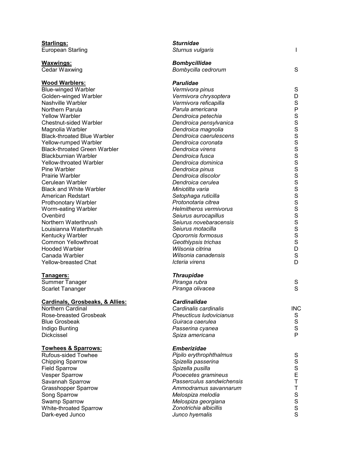| <b>Starlings:</b>                          | <b>Sturnidae</b>               |              |
|--------------------------------------------|--------------------------------|--------------|
| <b>European Starling</b>                   | Sturnus vulgaris               |              |
| <b>Waxwings:</b>                           | <b>Bombycillidae</b>           |              |
| Cedar Waxwing                              | Bombycilla cedrorum            | S            |
| <b>Wood Warblers:</b>                      | <b>Parulidae</b>               |              |
| <b>Blue-winged Warbler</b>                 | Vermivora pinus                | $\mathbf S$  |
| Golden-winged Warbler                      | Vermivora chrysoptera          | D            |
| Nashville Warbler                          | Vermivora reficapilla          | $\mathbf S$  |
| Northern Parula                            | Parula americana               | $\sf P$      |
| <b>Yellow Warbler</b>                      | Dendroica petechia             | $\mathbf S$  |
| <b>Chestnut-sided Warbler</b>              | Dendroica pensylvanica         | $\mathbf S$  |
| Magnolia Warbler                           | Dendroica magnolia             | S            |
| <b>Black-throated Blue Warbler</b>         | Dendroica caerulescens         | $\mathbf S$  |
| Yellow-rumped Warbler                      | Dendroica coronata             | S            |
| <b>Black-throated Green Warbler</b>        | Dendroica virens               | S            |
| <b>Blackburnian Warbler</b>                | Dendroica fusca                | $\mathbf S$  |
| <b>Yellow-throated Warbler</b>             | Dendroica dominica             | $\mathsf{s}$ |
| Pine Warbler                               | Dendroica pinus                | $\mathbf S$  |
| <b>Prairie Warbler</b>                     | Dendroica discolor             | $\rm S$      |
| Cerulean Warbler                           | Dendroica cerulea              | S            |
| <b>Black and White Warbler</b>             | Miniotilta varia               | S            |
| American Redstart                          | Setophaga ruticilla            | S            |
| Prothonotary Warbler                       | Protonotaria citrea            | S            |
| Worm-eating Warbler                        | <b>Helmitheros vermivorus</b>  | S            |
| Ovenbird                                   | Seiurus aurocapillus           | $\mathbf S$  |
| Northern Waterthrush                       | Seiurus novebaracensis         | S            |
| Louisianna Waterthrush                     | Seiurus motacilla              | S            |
| Kentucky Warbler                           | Oporornis formosus             | $\mathbf S$  |
| <b>Common Yellowthroat</b>                 | Geothlypsis trichas            | $\mathbf S$  |
| <b>Hooded Warbler</b>                      | Wilsonia citrina               | D            |
| Canada Warbler                             | Wilsonia canadensis            | $\mathbf S$  |
| <b>Yellow-breasted Chat</b>                | Icteria virens                 | D            |
| Tanagers:                                  | <b>Thraupidae</b>              |              |
| Summer Tanager                             | Piranga rubra                  | S            |
| Scarlet Tananger                           | Piranga olivacea               | S            |
| <b>Cardinals, Grosbeaks, &amp; Allies:</b> | Cardinalidae                   |              |
| Northern Cardinal                          | Cardinalis cardinalis          | <b>INC</b>   |
| Rose-breasted Grosbeak                     | <b>Pheucticus Iudovicianus</b> | S            |
| <b>Blue Grosbeak</b>                       | Guiraca caerulea               | $\mathbf S$  |
| Indigo Bunting                             | Passerina cyanea               | $\mathbf S$  |
| Dickcissel                                 | Spiza americana                | P            |
| <b>Towhees &amp; Sparrows:</b>             | <b>Emberizidae</b>             |              |
| <b>Rufous-sided Towhee</b>                 | Pipilo erythrophthalmus        | S            |
| <b>Chipping Sparrow</b>                    | Spizella passerina             | $\mathbf S$  |
| <b>Field Sparrow</b>                       | Spizella pusilla               | $\mathbf S$  |
| <b>Vesper Sparrow</b>                      | Pooecetes gramineus            | E            |
| Savannah Sparrow                           | Passerculus sandwichensis      | T            |
| <b>Grasshopper Sparrow</b>                 | Ammodramus savannarum          | T            |
| Song Sparrow                               | Melospiza melodia              | $\mathbf S$  |
| Swamp Sparrow                              | Melospiza georgiana            | $\mathbf S$  |
|                                            |                                | $\mathbf S$  |
| White-throated Sparrow                     | Zonotrichia albicillis         | S            |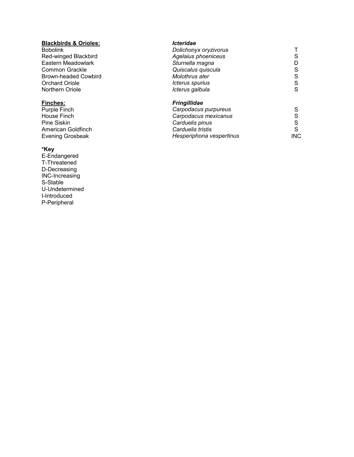## **Blackbirds & Orioles:** *Icteridae*

#### **\*Key**

E-Endangered T-Threatened D-Decreasing INC-Increasing S-Stable U-Undetermined I-Introduced P-Peripheral

| <b>Bobolink</b>      | Dolichonyx oryzivorus |    |
|----------------------|-----------------------|----|
| Red-winged Blackbird | Agelaius phoeniceus   | S. |
| Eastern Meadowlark   | Sturnella magna       | D. |
| Common Grackle       | Quiscalus quiscula    | S. |
| Brown-headed Cowbird | Molothrus ater        | S. |
| Orchard Oriole       | Icterus spurius       | S. |
| Northern Oriole      | Icterus galbula       | S. |
|                      |                       |    |

### **Finches:** *Fringillidae*

| Purple Finch            | Carpodacus purpureus     |      |
|-------------------------|--------------------------|------|
| House Finch             | Carpodacus mexicanus     |      |
| Pine Siskin             | Carduelis pinus          |      |
| American Goldfinch      | Carduelis tristis        |      |
| <b>Evening Grosbeak</b> | Hesperiphona vespertinus | INC. |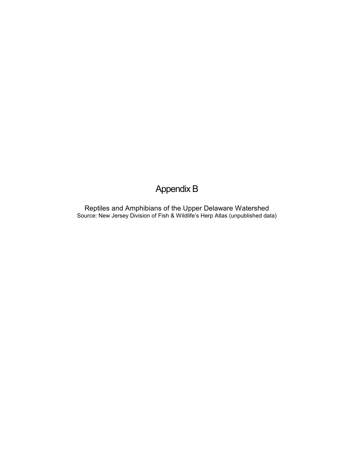### Appendix B

Reptiles and Amphibians of the Upper Delaware Watershed Source: New Jersey Division of Fish & Wildlife's Herp Atlas (unpublished data)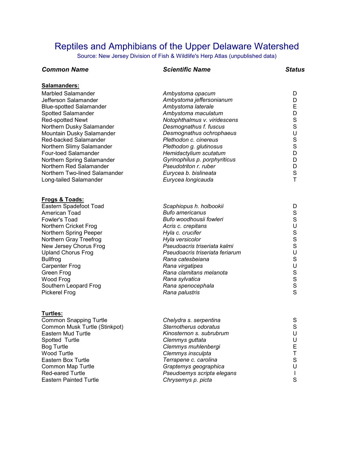### Reptiles and Amphibians of the Upper Delaware Watershed

Source: New Jersey Division of Fish & Wildlife's Herp Atlas (unpublished data)

#### *Common Name Scientific Name Status*  **Salamanders:** Marbled Salamander *Ambystoma opacum* D Jefferson Salamander *Ambystoma jeffersonianum* D Blue-spotted Salamander *Ambystoma laterale* E Spotted Salamander *Ambystoma maculatum* D Red-spotted Newt *Notophthalmus v. viridescens* S Northern Dusky Salamander *Desmognathus f. fuscus* S Mountain Dusky Salamander *Desmognathus ochrophaeus* U Red-backed Salamander *Plethodon c. cinereus* S Northern Slimy Salamander *Plethodon g. glutinosus* Four-toed Salamander *Hemidactylium scutatum* D Northern Spring Salamander *Gyrinophilus p. porphyriticus* D Northern Red Salamander *Pseudotriton r. ruber* D Northern Two-lined Salamander *Eurycea b. bislineata* S Long-tailed Salamander *Eurycea longicauda* T **Frogs & Toads:** Eastern Spadefoot Toad *Scaphiopus h. holbookii* D Bufo americanus Fowler's Toad *Bufo woodhousii fowleri* S Northern Cricket Frog *Acris c. crepitans* U Northern Spring Peeper **Hyla c. crucifer** Northern Gray Treefrog *Hyla versicolor* S New Jersey Chorus Frog *Pseudoacris triseriata kalmi* S Upland Chorus Frog *Pseudoacris triseriata feriarum* U Bullfrog *Rana catesbeiana* S Carpenter Frog *Rana virgatipes* U Green Frog **Callet Contract Contract Contract Contract Contract Contract Contract Contract Contract Contract Co<br>
Rana sylvatica Contract Contract Contract Contract Contract Contract Contract Contract Contract Contract Cont** Wood Frog *Rana sylvatica* S Southern Leopard Frog *Rana spenocephala* S **Pickerel Frog** *Rana palustris Rana palustris* **Turtles:** Common Snapping Turtle *Chelydra s. serpentina* S Common Musk Turtle (Stinkpot) *Sternotherus odoratus* S Eastern Mud Turtle *Kinosternon s. subrubrum* U Spotted Turtle *Clemmys guttata* U Bog Turtle *Clemmys muhlenbergi* E Wood Turtle *Clemmys insculpta*

Eastern Box Turtle *Terrapene c. carolina* S Common Map Turtle *Graptemys geographica* U Red-eared Turtle *Pseudoemys scripta elegans* I Eastern Painted Turtle *Chrysemys p. picta* S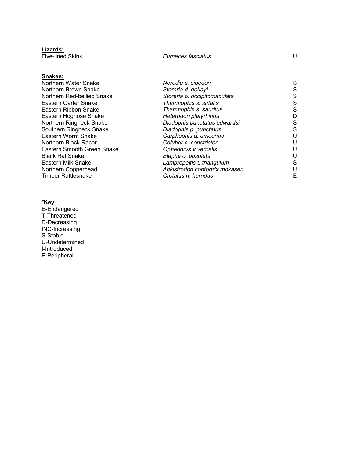| Eumeces fasciatus              | U |
|--------------------------------|---|
|                                |   |
| Nerodia s. sipedon             | S |
| Storeria d. dekayi             | S |
| Storeria o. occipitomaculata   | S |
| Thamnophis s. sirtalis         | S |
| Thamnophis s. sauritus         | S |
| Heterodon platyrhinos          | D |
| Diadophis punctatus edwardsi   | S |
| Diadophis p. punctatus         | S |
| Carphophis a. amoenus          | U |
| Coluber c. constrictor         | U |
| Opheodrys v.vernalis           | U |
| Elaphe o. obsoleta             | U |
| Lampropeltis t. triangulum     | S |
| Agkistrodon contortrix mokasen | U |
| Crotalus n. horridus           | E |
|                                |   |

#### **\*Key**

**Lizards:**

E-Endangered T-Threatened D-Decreasing INC-Increasing S-Stable U-Undetermined I-Introduced P-Peripheral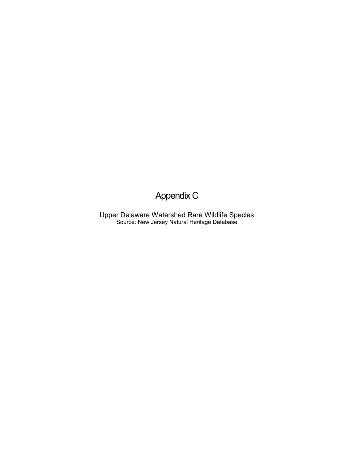### Appendix C

Upper Delaware Watershed Rare Wildlife Species Source: New Jersey Natural Heritage Database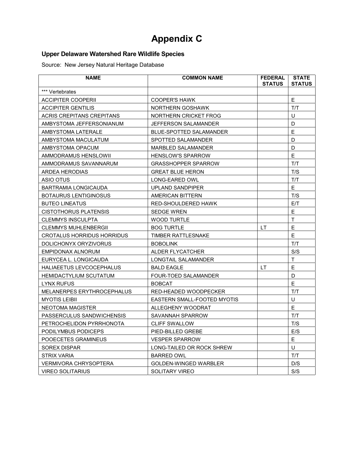## **Appendix C**

### **Upper Delaware Watershed Rare Wildlife Species**

Source: New Jersey Natural Heritage Database

| <b>NAME</b>                       | <b>COMMON NAME</b>             | <b>FEDERAL</b><br><b>STATUS</b> | <b>STATE</b><br><b>STATUS</b> |
|-----------------------------------|--------------------------------|---------------------------------|-------------------------------|
| *** Vertebrates                   |                                |                                 |                               |
| <b>ACCIPITER COOPERII</b>         | <b>COOPER'S HAWK</b>           |                                 | E.                            |
| ACCIPITER GENTILIS                | NORTHERN GOSHAWK               |                                 | T/T                           |
| ACRIS CREPITANS CREPITANS         | NORTHERN CRICKET FROG          |                                 | U                             |
| AMBYSTOMA JEFFERSONIANUM          | JEFFERSON SALAMANDER           |                                 | D                             |
| AMBYSTOMA LATERALE                | <b>BLUE-SPOTTED SALAMANDER</b> |                                 | E                             |
| AMBYSTOMA MACULATUM               | SPOTTED SALAMANDER             |                                 | D                             |
| AMBYSTOMA OPACUM                  | MARBLED SALAMANDER             |                                 | D                             |
| AMMODRAMUS HENSLOWII              | <b>HENSLOW'S SPARROW</b>       |                                 | E                             |
| AMMODRAMUS SAVANNARUM             | <b>GRASSHOPPER SPARROW</b>     |                                 | T/T                           |
| ARDEA HERODIAS                    | <b>GREAT BLUE HERON</b>        |                                 | T/S                           |
| ASIO OTUS                         | LONG-EARED OWL                 |                                 | T/T                           |
| BARTRAMIA LONGICAUDA              | UPLAND SANDPIPER               |                                 | E.                            |
| <b>BOTAURUS LENTIGINOSUS</b>      | AMERICAN BITTERN               |                                 | T/S                           |
| <b>BUTEO LINEATUS</b>             | RED-SHOULDERED HAWK            |                                 | E/T                           |
| <b>CISTOTHORUS PLATENSIS</b>      | <b>SEDGE WREN</b>              |                                 | E                             |
| CLEMMYS INSCULPTA                 | <b>WOOD TURTLE</b>             |                                 | T                             |
| <b>CLEMMYS MUHLENBERGII</b>       | <b>BOG TURTLE</b>              | LT.                             | E                             |
| CROTALUS HORRIDUS HORRIDUS        | <b>TIMBER RATTLESNAKE</b>      |                                 | Ε                             |
| DOLICHONYX ORYZIVORUS             | <b>BOBOLINK</b>                |                                 | T/T                           |
| EMPIDONAX ALNORUM                 | ALDER FLYCATCHER               |                                 | S/S                           |
| EURYCEA L. LONGICAUDA             | LONGTAIL SALAMANDER            |                                 | T                             |
| HALIAEETUS LEVCOCEPHALUS          | <b>BALD EAGLE</b>              | LT.                             | E                             |
| <b>HEMIDACTYLIUM SCUTATUM</b>     | <b>FOUR-TOED SALAMANDER</b>    |                                 | D                             |
| <b>LYNX RUFUS</b>                 | <b>BOBCAT</b>                  |                                 | E                             |
| <b>MELANERPES ERYTHROCEPHALUS</b> | RED-HEADED WOODPECKER          |                                 | T/T                           |
| <b>MYOTIS LEIBII</b>              | EASTERN SMALL-FOOTED MYOTIS    |                                 | U                             |
| NEOTOMA MAGISTER                  | ALLEGHENY WOODRAT              |                                 | E                             |
| PASSERCULUS SANDWICHENSIS         | SAVANNAH SPARROW               |                                 | T/T                           |
| PETROCHELIDON PYRRHONOTA          | <b>CLIFF SWALLOW</b>           |                                 | T/S                           |
| PODILYMBUS PODICEPS               | PIED-BILLED GREBE              |                                 | E/S                           |
| POOECETES GRAMINEUS               | <b>VESPER SPARROW</b>          |                                 | E                             |
| SOREX DISPAR                      | LONG-TAILED OR ROCK SHREW      |                                 | U                             |
| STRIX VARIA                       | <b>BARRED OWL</b>              |                                 | T/T                           |
| VERMIVORA CHRYSOPTERA             | GOLDEN-WINGED WARBLER          |                                 | D/S                           |
| <b>VIREO SOLITARIUS</b>           | <b>SOLITARY VIREO</b>          |                                 | S/S                           |